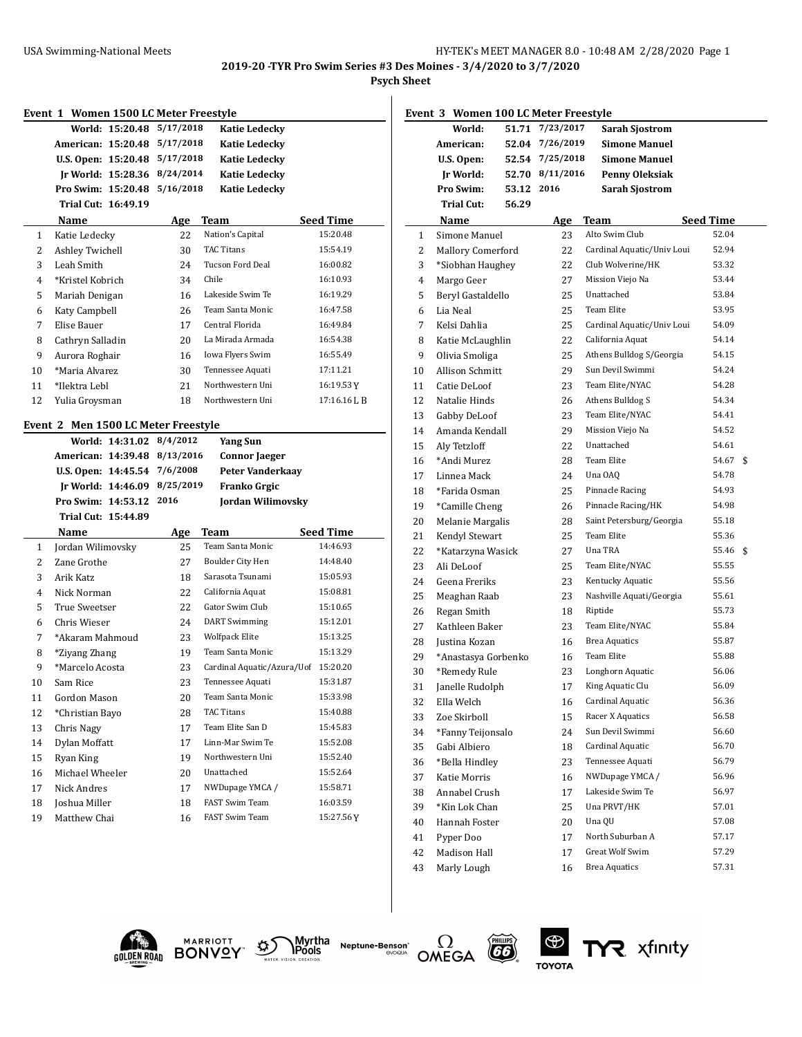## **2019-20 -TYR Pro Swim Series #3 Des Moines - 3/4/2020 to 3/7/2020**

**Psych Sheet**

| Event 1 Women 1500 LC Meter Freestyle |                                          |            |                                     |                  |  |  |  |
|---------------------------------------|------------------------------------------|------------|-------------------------------------|------------------|--|--|--|
|                                       | World: 15:20.48                          | 5/17/2018  | <b>Katie Ledecky</b>                |                  |  |  |  |
|                                       | American: 15:20.48                       | 5/17/2018  | <b>Katie Ledecky</b>                |                  |  |  |  |
|                                       | U.S. Open: 15:20.48                      | 5/17/2018  | Katie Ledecky                       |                  |  |  |  |
|                                       | Jr World: 15:28.36                       | 8/24/2014  | <b>Katie Ledecky</b>                |                  |  |  |  |
|                                       | Pro Swim: 15:20.48                       | 5/16/2018  | <b>Katie Ledecky</b>                |                  |  |  |  |
|                                       | Trial Cut: 16:49.19                      |            |                                     |                  |  |  |  |
|                                       | Name                                     | <b>Age</b> | Team                                | <b>Seed Time</b> |  |  |  |
| 1                                     | Katie Ledecky                            | 22         | Nation's Capital                    | 15:20.48         |  |  |  |
| 2                                     | Ashley Twichell                          | 30         | <b>TAC Titans</b>                   | 15:54.19         |  |  |  |
| 3                                     | Leah Smith                               | 24         | <b>Tucson Ford Deal</b>             | 16:00.82         |  |  |  |
| 4                                     | *Kristel Kobrich                         | 34         | Chile                               | 16:10.93         |  |  |  |
| 5                                     | Mariah Denigan                           | 16         | Lakeside Swim Te                    | 16:19.29         |  |  |  |
| 6                                     | Katy Campbell                            | 26         | Team Santa Monic                    | 16:47.58         |  |  |  |
| 7                                     | Elise Bauer                              | 17         | Central Florida                     | 16:49.84         |  |  |  |
| 8                                     | Cathryn Salladin                         | 20         | La Mirada Armada                    | 16:54.38         |  |  |  |
| 9                                     | Aurora Roghair                           | 16         | Iowa Flyers Swim                    | 16:55.49         |  |  |  |
| 10                                    | *Maria Alvarez                           | 30         | Tennessee Aquati                    | 17:11.21         |  |  |  |
| 11                                    | *Ilektra Lebl                            | 21         | Northwestern Uni                    | 16:19.53 Y       |  |  |  |
| 12                                    | Yulia Groysman                           | 18         | Northwestern Uni                    | 17:16.16 J. B    |  |  |  |
|                                       | Event 2 Men 1500 LC Meter Freestyle      |            |                                     |                  |  |  |  |
|                                       | World: 14:31.02                          | 8/4/2012   | Yang Sun                            |                  |  |  |  |
|                                       | American: 14:39.48                       | 8/13/2016  | <b>Connor Jaeger</b>                |                  |  |  |  |
|                                       |                                          | 7/6/2008   |                                     |                  |  |  |  |
|                                       |                                          |            |                                     |                  |  |  |  |
|                                       | U.S. Open: 14:45.54                      | 8/25/2019  | Peter Vanderkaay                    |                  |  |  |  |
|                                       | Ir World: 14:46.09<br>Pro Swim: 14:53.12 | 2016       | Franko Grgic                        |                  |  |  |  |
|                                       | Trial Cut: 15:44.89                      |            | Jordan Wilimovsky                   |                  |  |  |  |
|                                       | Name                                     | Age        | Team                                | Seed Time        |  |  |  |
| 1                                     | Jordan Wilimovsky                        | 25         | Team Santa Monic                    | 14:46.93         |  |  |  |
| 2                                     | Zane Grothe                              | 27         | Boulder City Hen                    | 14:48.40         |  |  |  |
| 3                                     | Arik Katz                                | 18         | Sarasota Tsunami                    | 15:05.93         |  |  |  |
| 4                                     | Nick Norman                              | 22         | California Aquat                    | 15:08.81         |  |  |  |
| 5                                     | True Sweetser                            | 22         | Gator Swim Club                     | 15:10.65         |  |  |  |
| 6                                     | Chris Wieser                             | 24         | <b>DART</b> Swimming                | 15:12.01         |  |  |  |
| 7                                     | *Akaram Mahmoud                          | 23         | Wolfpack Elite                      | 15:13.25         |  |  |  |
| 8                                     | *Ziyang Zhang                            | 19         | Team Santa Monic                    | 15:13.29         |  |  |  |
| 9                                     | *Marcelo Acosta                          | 23         | Cardinal Aquatic/Azura/Uof 15:20.20 |                  |  |  |  |
| 10                                    | Sam Rice                                 | 23         | Tennessee Aquati                    | 15:31.87         |  |  |  |
| 11                                    | Gordon Mason                             | 20         | Team Santa Monic                    | 15:33.98         |  |  |  |
| 12                                    | *Christian Bayo                          | 28         | TAC Titans                          | 15:40.88         |  |  |  |
| 13                                    | Chris Nagy                               | 17         | Team Elite San D                    | 15:45.83         |  |  |  |
| 14                                    | Dylan Moffatt                            | 17         | Linn-Mar Swim Te                    | 15:52.08         |  |  |  |
| 15                                    | Ryan King                                | 19         | Northwestern Uni                    | 15:52.40         |  |  |  |
| 16                                    | Michael Wheeler                          | 20         | Unattached                          | 15:52.64         |  |  |  |
| 17                                    | Nick Andres                              | 17         | NWDupage YMCA /                     | 15:58.71         |  |  |  |
| 18                                    | Joshua Miller                            | 18         | FAST Swim Team                      | 16:03.59         |  |  |  |

|          | Event 3 Women 100 LC Meter Freestyle |            |                 |                                      |                  |    |
|----------|--------------------------------------|------------|-----------------|--------------------------------------|------------------|----|
|          | World:                               | 51.71      | 7/23/2017       | <b>Sarah Sjostrom</b>                |                  |    |
|          | American:                            |            | 52.04 7/26/2019 | <b>Simone Manuel</b>                 |                  |    |
|          | U.S. Open:                           |            | 52.54 7/25/2018 | <b>Simone Manuel</b>                 |                  |    |
|          | Jr World:                            |            | 52.70 8/11/2016 | Penny Oleksiak                       |                  |    |
|          | Pro Swim:                            | 53.12 2016 |                 | Sarah Sjostrom                       |                  |    |
|          | <b>Trial Cut:</b>                    | 56.29      |                 |                                      |                  |    |
|          | Name                                 |            | <u>Age</u>      | Team                                 | <b>Seed Time</b> |    |
| 1        | Simone Manuel                        |            | 23              | Alto Swim Club                       | 52.04            |    |
| 2        | <b>Mallory Comerford</b>             |            | 22              | Cardinal Aquatic/Univ Loui           | 52.94            |    |
| 3        | *Siobhan Haughey                     |            | 22              | Club Wolverine/HK                    | 53.32            |    |
| 4        | Margo Geer                           |            | 27              | Mission Viejo Na                     | 53.44            |    |
| 5        | Beryl Gastaldello                    |            | 25              | Unattached                           | 53.84            |    |
| 6        | Lia Neal                             |            | 25              | <b>Team Elite</b>                    | 53.95            |    |
| 7        | Kelsi Dahlia                         |            | 25              | Cardinal Aquatic/Univ Loui           | 54.09            |    |
| 8        | Katie McLaughlin                     |            | 22              | California Aquat                     | 54.14            |    |
| 9        | Olivia Smoliga                       |            | 25              | Athens Bulldog S/Georgia             | 54.15            |    |
| 10       | Allison Schmitt                      |            | 29              | Sun Devil Swimmi                     | 54.24            |    |
| 11       | Catie DeLoof                         |            | 23              | Team Elite/NYAC                      | 54.28            |    |
| 12       | Natalie Hinds                        |            | 26              | Athens Bulldog S                     | 54.34            |    |
| 13       | Gabby DeLoof                         |            | 23              | Team Elite/NYAC                      | 54.41            |    |
| 14       | Amanda Kendall                       |            | 29              | Mission Viejo Na                     | 54.52            |    |
| 15       | Aly Tetzloff                         |            | 22              | Unattached                           | 54.61            |    |
| 16       | *Andi Murez                          |            | 28              | Team Elite                           | 54.67            | \$ |
| 17       | Linnea Mack                          |            | 24              | Una OAQ                              | 54.78            |    |
| 18       | *Farida Osman                        |            | 25              | Pinnacle Racing                      | 54.93            |    |
| 19       | *Camille Cheng                       |            | 26              | Pinnacle Racing/HK                   | 54.98            |    |
| 20       | Melanie Margalis                     |            | 28              | Saint Petersburg/Georgia             | 55.18            |    |
| 21       | Kendyl Stewart                       |            | 25              | Team Elite                           | 55.36            |    |
| 22       | *Katarzyna Wasick                    |            | 27              | Una TRA                              | 55.46            | \$ |
| 23       | Ali DeLoof                           |            | 25              | Team Elite/NYAC                      | 55.55            |    |
| 24       | Geena Freriks                        |            | 23              | Kentucky Aquatic                     | 55.56            |    |
| 25       | Meaghan Raab                         |            | 23              | Nashville Aquati/Georgia             | 55.61            |    |
| 26       | Regan Smith                          |            | 18              | Riptide                              | 55.73            |    |
| 27       | Kathleen Baker                       |            | 23              | Team Elite/NYAC                      | 55.84            |    |
| 28       | Justina Kozan                        |            | 16              | <b>Brea Aquatics</b>                 | 55.87            |    |
| 29       | *Anastasya Gorbenko                  |            | 16              | <b>Team Elite</b>                    | 55.88            |    |
| 30       | *Remedy Rule                         |            | 23              | Longhorn Aquatic                     | 56.06            |    |
| 31       | Janelle Rudolph                      |            | 17              | King Aquatic Clu<br>Cardinal Aquatic | 56.09            |    |
| 32       | Ella Welch                           |            | 16              | Racer X Aquatics                     | 56.36<br>56.58   |    |
| 33       | Zoe Skirboll                         |            | 15              | Sun Devil Swimmi                     |                  |    |
| 34       | *Fanny Teijonsalo<br>Gabi Albiero    |            | 24              | Cardinal Aquatic                     | 56.60<br>56.70   |    |
| 35       |                                      |            | 18              |                                      |                  |    |
| 36       | *Bella Hindley                       |            | 23              | Tennessee Aquati<br>NWDupage YMCA /  | 56.79<br>56.96   |    |
| 37       | Katie Morris<br>Annabel Crush        |            | 16              | Lakeside Swim Te                     | 56.97            |    |
| 38<br>39 |                                      |            | 17              | Una PRVT/HK                          | 57.01            |    |
|          | *Kin Lok Chan                        |            | 25<br>20        | Una QU                               | 57.08            |    |
| 40<br>41 | Hannah Foster<br>Pyper Doo           |            | 17              | North Suburban A                     | 57.17            |    |
| 42       | Madison Hall                         |            | 17              | <b>Great Wolf Swim</b>               | 57.29            |    |
| 43       | Marly Lough                          |            | 16              | <b>Brea Aquatics</b>                 | 57.31            |    |
|          |                                      |            |                 |                                      |                  |    |











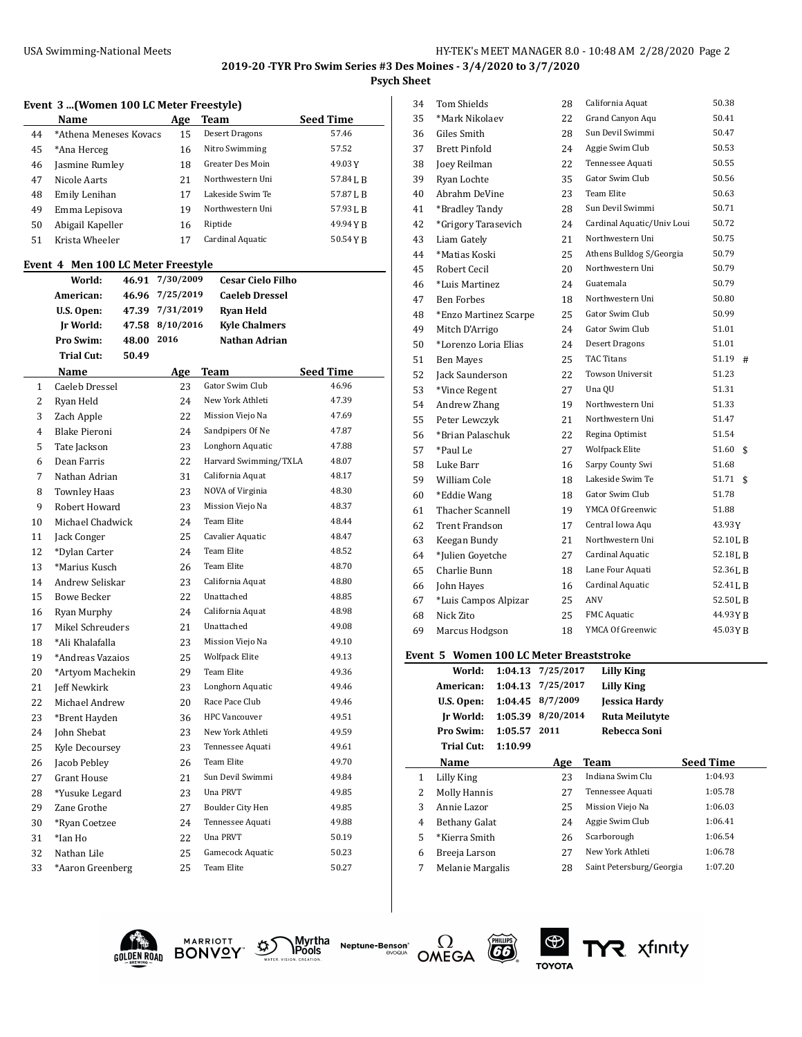## **2019-20 -TYR Pro Swim Series #3 Des Moines - 3/4/2020 to 3/7/2020 Psych Sheet**

## **Event 3 ...(Women 100 LC Meter Freestyle)**

|    | Name                   | Age | Team                    | <b>Seed Time</b> |
|----|------------------------|-----|-------------------------|------------------|
| 44 | *Athena Meneses Kovacs | 15  | <b>Desert Dragons</b>   | 57.46            |
| 45 | *Ana Herceg            | 16  | Nitro Swimming          | 57.52            |
| 46 | Jasmine Rumley         | 18  | <b>Greater Des Moin</b> | 49.03Y           |
| 47 | Nicole Aarts           | 21  | Northwestern Uni        | 57.84LB          |
| 48 | Emily Lenihan          | 17  | Lakeside Swim Te        | 57.87 L B        |
| 49 | Emma Lepisova          | 19  | Northwestern Uni        | 57.93 J.B        |
| 50 | Abigail Kapeller       | 16  | Riptide                 | 49.94 Y B        |
| 51 | Krista Wheeler         |     | Cardinal Aquatic        | 50.54YR          |

#### **Event 4 Men 100 LC Meter Freestyle**

|                | World:               | 46.91 | 7/30/2009 | <b>Cesar Cielo Filho</b> |                  |
|----------------|----------------------|-------|-----------|--------------------------|------------------|
|                | American:            | 46.96 | 7/25/2019 | <b>Caeleh Dressel</b>    |                  |
|                | U.S. Open:           | 47.39 | 7/31/2019 | <b>Ryan Held</b>         |                  |
|                | Ir World:            | 47.58 | 8/10/2016 | <b>Kyle Chalmers</b>     |                  |
|                | Pro Swim:            | 48.00 | 2016      | Nathan Adrian            |                  |
|                | Trial Cut:           | 50.49 |           |                          |                  |
|                | Name                 |       | Age       | Team                     | <b>Seed Time</b> |
| $\mathbf{1}$   | Caeleb Dressel       |       | 23        | Gator Swim Club          | 46.96            |
| $\overline{2}$ | Ryan Held            |       | 24        | New York Athleti         | 47.39            |
| 3              | Zach Apple           |       | 22        | Mission Viejo Na         | 47.69            |
| 4              | <b>Blake Pieroni</b> |       | 24        | Sandpipers Of Ne         | 47.87            |
| 5              | Tate Jackson         |       | 23        | Longhorn Aquatic         | 47.88            |
| 6              | Dean Farris          |       | 22        | Harvard Swimming/TXLA    | 48.07            |
| 7              | Nathan Adrian        |       | 31        | California Aquat         | 48.17            |
| 8              | <b>Townley Haas</b>  |       | 23        | NOVA of Virginia         | 48.30            |
| 9              | Robert Howard        |       | 23        | Mission Viejo Na         | 48.37            |
| 10             | Michael Chadwick     |       | 24        | Team Elite               | 48.44            |
| 11             | Jack Conger          |       | 25        | Cavalier Aquatic         | 48.47            |
| 12             | *Dylan Carter        |       | 24        | <b>Team Elite</b>        | 48.52            |
| 13             | *Marius Kusch        |       | 26        | <b>Team Elite</b>        | 48.70            |
| 14             | Andrew Seliskar      |       | 23        | California Aquat         | 48.80            |
| 15             | <b>Bowe Becker</b>   |       | 22        | Unattached               | 48.85            |
| 16             | Ryan Murphy          |       | 24        | California Aquat         | 48.98            |
| 17             | Mikel Schreuders     |       | 21        | Unattached               | 49.08            |
| 18             | *Ali Khalafalla      |       | 23        | Mission Viejo Na         | 49.10            |
| 19             | *Andreas Vazaios     |       | 25        | <b>Wolfpack Elite</b>    | 49.13            |
| 20             | *Artyom Machekin     |       | 29        | <b>Team Elite</b>        | 49.36            |
| 21             | Jeff Newkirk         |       | 23        | Longhorn Aquatic         | 49.46            |
| 22             | Michael Andrew       |       | 20        | Race Pace Club           | 49.46            |
| 23             | *Brent Hayden        |       | 36        | <b>HPC</b> Vancouver     | 49.51            |
| 24             | John Shebat          |       | 23        | New York Athleti         | 49.59            |
| 25             | Kyle Decoursey       |       | 23        | Tennessee Aquati         | 49.61            |
| 26             | Jacob Peblev         |       | 26        | <b>Team Elite</b>        | 49.70            |
| 27             | <b>Grant House</b>   |       | 21        | Sun Devil Swimmi         | 49.84            |
| 28             | *Yusuke Legard       |       | 23        | Una PRVT                 | 49.85            |
| 29             | Zane Grothe          |       | 27        | Boulder City Hen         | 49.85            |
| 30             | *Ryan Coetzee        |       | 24        | Tennessee Aquati         | 49.88            |
| 31             | *Ian Ho              |       | 22        | Una PRVT                 | 50.19            |
| 32             | Nathan Lile          |       | 25        | Gamecock Aquatic         | 50.23            |
| 33             | *Aaron Greenberg     |       | 25        | <b>Team Elite</b>        | 50.27            |
|                |                      |       |           |                          |                  |

| 34 | Tom Shields                                       |         | 28                | California Aquat           | 50.38       |  |  |
|----|---------------------------------------------------|---------|-------------------|----------------------------|-------------|--|--|
| 35 | *Mark Nikolaev                                    |         | 22                | Grand Canyon Aqu           | 50.41       |  |  |
| 36 | Giles Smith                                       |         | 28                | Sun Devil Swimmi           | 50.47       |  |  |
| 37 | <b>Brett Pinfold</b>                              |         | 24                | Aggie Swim Club            | 50.53       |  |  |
| 38 | Joey Reilman                                      |         | 22                | Tennessee Aquati           | 50.55       |  |  |
| 39 | Ryan Lochte                                       |         | 35                | Gator Swim Club            | 50.56       |  |  |
| 40 | Abrahm DeVine                                     |         | 23                | <b>Team Elite</b>          | 50.63       |  |  |
| 41 | *Bradley Tandy                                    |         | 28                | Sun Devil Swimmi           | 50.71       |  |  |
| 42 | *Grigory Tarasevich                               |         | 24                | Cardinal Aquatic/Univ Loui | 50.72       |  |  |
| 43 | Liam Gately                                       |         | 21                | Northwestern Uni           | 50.75       |  |  |
| 44 | *Matias Koski                                     |         | 25                | Athens Bulldog S/Georgia   | 50.79       |  |  |
| 45 | Robert Cecil                                      |         | 20                | Northwestern Uni           | 50.79       |  |  |
| 46 | *Luis Martinez                                    |         | 24                | Guatemala                  | 50.79       |  |  |
| 47 | <b>Ben Forbes</b>                                 |         | 18                | Northwestern Uni           | 50.80       |  |  |
| 48 | *Enzo Martinez Scarpe                             |         | 25                | Gator Swim Club            | 50.99       |  |  |
| 49 | Mitch D'Arrigo                                    |         | 24                | Gator Swim Club            | 51.01       |  |  |
| 50 | *Lorenzo Loria Elias                              |         | 24                | Desert Dragons             | 51.01       |  |  |
| 51 | Ben Mayes                                         |         | 25                | <b>TAC Titans</b>          | 51.19<br>#  |  |  |
| 52 | Jack Saunderson                                   |         | 22                | <b>Towson Universit</b>    | 51.23       |  |  |
| 53 | *Vince Regent                                     |         | 27                | Una QU                     | 51.31       |  |  |
| 54 | Andrew Zhang                                      |         | 19                | Northwestern Uni           | 51.33       |  |  |
| 55 | Peter Lewczyk                                     |         | 21                | Northwestern Uni           | 51.47       |  |  |
| 56 | *Brian Palaschuk                                  |         | 22                | Regina Optimist            | 51.54       |  |  |
| 57 | *Paul Le                                          |         | 27                | <b>Wolfpack Elite</b>      | 51.60<br>\$ |  |  |
| 58 | Luke Barr                                         |         | 16                | Sarpy County Swi           | 51.68       |  |  |
| 59 | William Cole                                      |         | 18                | Lakeside Swim Te           | 51.71<br>\$ |  |  |
| 60 | *Eddie Wang                                       |         | 18                | Gator Swim Club            | 51.78       |  |  |
| 61 | Thacher Scannell                                  |         | 19                | YMCA Of Greenwic           | 51.88       |  |  |
| 62 | Trent Frandson                                    |         | 17                | Central Iowa Aqu           | 43.93 Y     |  |  |
| 63 | Keegan Bundy                                      |         | 21                | Northwestern Uni           | 52.10LB     |  |  |
| 64 | *Julien Govetche                                  |         | 27                | Cardinal Aquatic           | 52.18LB     |  |  |
| 65 | Charlie Bunn                                      |         | 18                | Lane Four Aquati           | 52.36LB     |  |  |
| 66 | John Hayes                                        |         | 16                | Cardinal Aquatic           | 52.41 L B   |  |  |
| 67 | *Luis Campos Alpizar                              |         | 25                | ANV                        | 52.50 L B   |  |  |
| 68 | Nick Zito                                         |         | 25                | <b>FMC</b> Aquatic         | 44.93YB     |  |  |
| 69 | Marcus Hodgson                                    |         | 18                | YMCA Of Greenwic           | 45.03 Y B   |  |  |
|    | Event 5<br><b>Women 100 LC Meter Breaststroke</b> |         |                   |                            |             |  |  |
|    | World:                                            |         | 1:04.13 7/25/2017 | <b>Lilly King</b>          |             |  |  |
|    | American:                                         | 1:04.13 | 7/25/2017         | <b>Lilly King</b>          |             |  |  |
|    | U.S. Open:                                        | 1:04.45 | 8/7/2009          | Jessica Hardy              |             |  |  |
|    |                                                   |         |                   |                            |             |  |  |

|   | U.S. Open:          |         | 1:04.45 8/7/2009 | <b>Jessica Hardy</b>     |                  |
|---|---------------------|---------|------------------|--------------------------|------------------|
|   | Ir World:           | 1:05.39 | 8/20/2014        | Ruta Meilutyte           |                  |
|   | Pro Swim:           | 1:05.57 | 2011             | Rebecca Soni             |                  |
|   | Trial Cut:          | 1:10.99 |                  |                          |                  |
|   | Name                |         | Age              | <b>Team</b>              | <b>Seed Time</b> |
| 1 | Lilly King          |         | 23               | Indiana Swim Clu         | 1:04.93          |
| 2 | <b>Molly Hannis</b> |         | 27               | Tennessee Aquati         | 1:05.78          |
| 3 | Annie Lazor         |         | 25               | Mission Viejo Na         | 1:06.03          |
| 4 | Bethany Galat       |         | 24               | Aggie Swim Club          | 1:06.41          |
| 5 | *Kierra Smith       |         | 26               | Scarborough              | 1:06.54          |
| 6 | Breeja Larson       |         | 27               | New York Athleti         | 1:06.78          |
| 7 | Melanie Margalis    |         | 28               | Saint Petersburg/Georgia | 1:07.20          |





Myrtha<br>**\Pools Neptune-Benson**\*





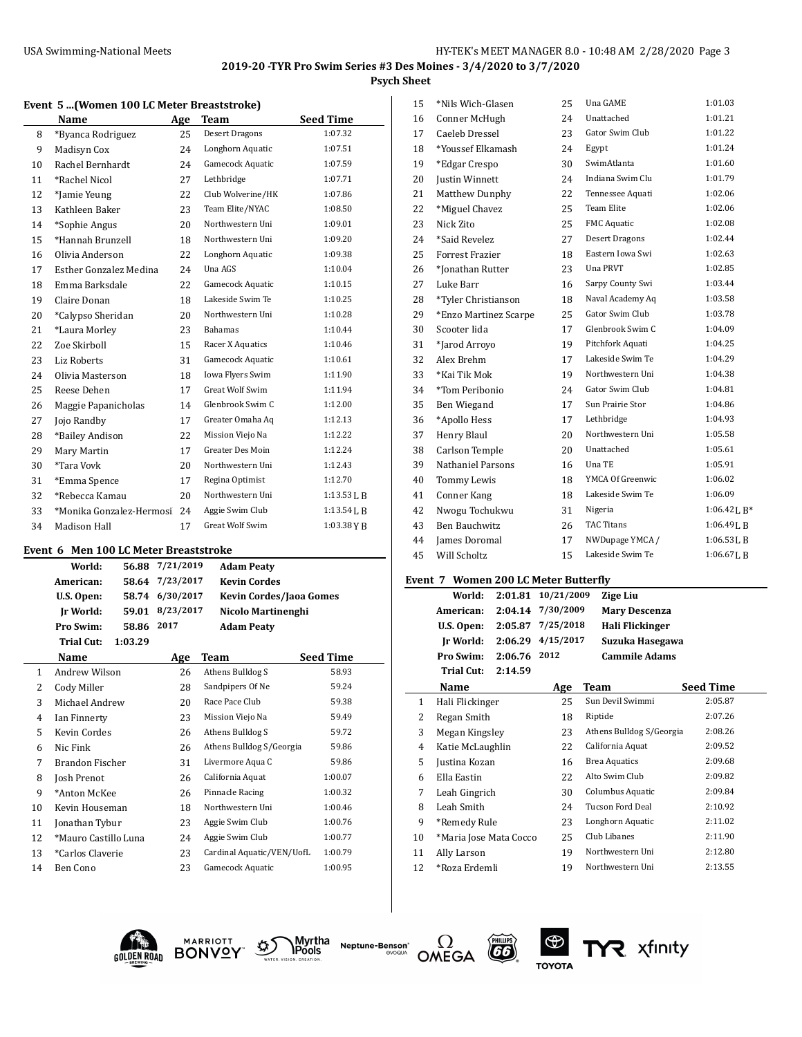**Psych Sheet**

|    | Name                     | Age | Team                    | <b>Seed Time</b> |
|----|--------------------------|-----|-------------------------|------------------|
| 8  | *Byanca Rodriguez        | 25  | Desert Dragons          | 1:07.32          |
| 9  | Madisyn Cox              | 2.4 | Longhorn Aquatic        | 1:07.51          |
| 10 | Rachel Bernhardt         | 24  | Gamecock Aquatic        | 1:07.59          |
| 11 | *Rachel Nicol            | 27  | Lethbridge              | 1:07.71          |
| 12 | *Jamie Yeung             | 22  | Club Wolverine/HK       | 1:07.86          |
| 13 | Kathleen Baker           | 23  | Team Elite/NYAC         | 1:08.50          |
| 14 | *Sophie Angus            | 20  | Northwestern Uni        | 1:09.01          |
| 15 | *Hannah Brunzell         | 18  | Northwestern Uni        | 1:09.20          |
| 16 | Olivia Anderson          | 22  | Longhorn Aquatic        | 1:09.38          |
| 17 | Esther Gonzalez Medina   | 24  | Una AGS                 | 1:10.04          |
| 18 | Emma Barksdale           | 22  | Gamecock Aquatic        | 1:10.15          |
| 19 | Claire Donan             | 18  | Lakeside Swim Te        | 1:10.25          |
| 20 | *Calypso Sheridan        | 20  | Northwestern Uni        | 1:10.28          |
| 21 | *Laura Morley            | 23  | Bahamas                 | 1:10.44          |
| 22 | Zoe Skirboll             | 15  | Racer X Aquatics        | 1:10.46          |
| 23 | <b>Liz Roberts</b>       | 31  | Gamecock Aquatic        | 1:10.61          |
| 24 | Olivia Masterson         | 18  | Iowa Flyers Swim        | 1:11.90          |
| 25 | Reese Dehen              | 17  | <b>Great Wolf Swim</b>  | 1:11.94          |
| 26 | Maggie Papanicholas      | 14  | Glenbrook Swim C        | 1:12.00          |
| 27 | Jojo Randby              | 17  | Greater Omaha Aq        | 1:12.13          |
| 28 | *Bailey Andison          | 22  | Mission Viejo Na        | 1:12.22          |
| 29 | Mary Martin              | 17  | <b>Greater Des Moin</b> | 1:12.24          |
| 30 | *Tara Vovk               | 20  | Northwestern Uni        | 1:12.43          |
| 31 | *Emma Spence             | 17  | Regina Optimist         | 1:12.70          |
| 32 | *Rebecca Kamau           | 20  | Northwestern Uni        | $1:13.53$ J, B   |
| 33 | *Monika Gonzalez-Hermosi | 24  | Aggie Swim Club         | $1:13.54$ J, B   |
| 34 | Madison Hall             | 17  | <b>Great Wolf Swim</b>  | $1:03.38$ Y B    |

## **Event 6 Men 100 LC Meter Breaststroke**

|                | World:<br>56.88              | 7/21/2019 | <b>Adam Peaty</b>         |                  |  |
|----------------|------------------------------|-----------|---------------------------|------------------|--|
|                | American:<br>58.64           | 7/23/2017 | <b>Kevin Cordes</b>       |                  |  |
|                | U.S. Open:<br>58.74          | 6/30/2017 | Kevin Cordes/Jaoa Gomes   |                  |  |
|                | Ir World:<br>59.01           | 8/23/2017 | Nicolo Martinenghi        |                  |  |
|                | Pro Swim:<br>58.86           | 2017      | <b>Adam Peaty</b>         |                  |  |
|                | <b>Trial Cut:</b><br>1:03.29 |           |                           |                  |  |
|                | Name                         | Age       | Team                      | <b>Seed Time</b> |  |
| 1              | Andrew Wilson                | 26        | Athens Bulldog S          | 58.93            |  |
| 2              | Cody Miller                  | 28        | Sandpipers Of Ne          | 59.24            |  |
| 3              | Michael Andrew               | 20        | Race Pace Club            | 59.38            |  |
| $\overline{4}$ | Ian Finnerty                 | 23        | Mission Viejo Na          | 59.49            |  |
| 5              | Kevin Cordes                 | 26        | Athens Bulldog S          | 59.72            |  |
| 6              | Nic Fink                     | 26        | Athens Bulldog S/Georgia  | 59.86            |  |
| 7              | Brandon Fischer              | 31        | Livermore Aqua C          | 59.86            |  |
| 8              | Josh Prenot                  | 26        | California Aquat          | 1:00.07          |  |
| 9              | *Anton McKee                 | 26        | Pinnacle Racing           | 1:00.32          |  |
| 10             | Kevin Houseman               | 18        | Northwestern Uni          | 1:00.46          |  |
| 11             | Jonathan Tybur               | 23        | Aggie Swim Club           | 1:00.76          |  |
| 12             | *Mauro Castillo Luna         | 24        | Aggie Swim Club           | 1:00.77          |  |
| 13             | *Carlos Claverie             | 23        | Cardinal Aquatic/VEN/UofL | 1:00.79          |  |
| 14             | Ben Cono                     | 23        | Gamecock Aquatic          | 1:00.95          |  |

| 15 | *Nils Wich-Glasen      | 25 | Una GAME           | 1:01.03           |
|----|------------------------|----|--------------------|-------------------|
| 16 | Conner McHugh          | 24 | Unattached         | 1:01.21           |
| 17 | Caeleb Dressel         | 23 | Gator Swim Club    | 1:01.22           |
| 18 | *Youssef Elkamash      | 24 | Egypt              | 1:01.24           |
| 19 | *Edgar Crespo          | 30 | SwimAtlanta        | 1:01.60           |
| 20 | <b>Justin Winnett</b>  | 24 | Indiana Swim Clu   | 1:01.79           |
| 21 | Matthew Dunphy         | 22 | Tennessee Aquati   | 1:02.06           |
| 22 | *Miguel Chavez         | 25 | <b>Team Elite</b>  | 1:02.06           |
| 23 | Nick Zito              | 25 | <b>FMC</b> Aquatic | 1:02.08           |
| 24 | *Said Revelez          | 27 | Desert Dragons     | 1:02.44           |
| 25 | <b>Forrest Frazier</b> | 18 | Eastern Iowa Swi   | 1:02.63           |
| 26 | *Jonathan Rutter       | 23 | Una PRVT           | 1:02.85           |
| 27 | Luke Barr              | 16 | Sarpy County Swi   | 1:03.44           |
| 28 | *Tyler Christianson    | 18 | Naval Academy Aq   | 1:03.58           |
| 29 | *Enzo Martinez Scarpe  | 25 | Gator Swim Club    | 1:03.78           |
| 30 | Scooter Iida           | 17 | Glenbrook Swim C   | 1:04.09           |
| 31 | *Jarod Arroyo          | 19 | Pitchfork Aquati   | 1:04.25           |
| 32 | Alex Brehm             | 17 | Lakeside Swim Te   | 1:04.29           |
| 33 | *Kai Tik Mok           | 19 | Northwestern Uni   | 1:04.38           |
| 34 | *Tom Peribonio         | 24 | Gator Swim Club    | 1:04.81           |
| 35 | Ben Wiegand            | 17 | Sun Prairie Stor   | 1:04.86           |
| 36 | *Apollo Hess           | 17 | Lethbridge         | 1:04.93           |
| 37 | Henry Blaul            | 20 | Northwestern Uni   | 1:05.58           |
| 38 | Carlson Temple         | 20 | Unattached         | 1:05.61           |
| 39 | Nathaniel Parsons      | 16 | Una TE             | 1:05.91           |
| 40 | Tommy Lewis            | 18 | YMCA Of Greenwic   | 1:06.02           |
| 41 | Conner Kang            | 18 | Lakeside Swim Te   | 1:06.09           |
| 42 | Nwogu Tochukwu         | 31 | Nigeria            | $1:06.42$ J, $B*$ |
| 43 | <b>Ben Bauchwitz</b>   | 26 | <b>TAC Titans</b>  | 1:06.49LB         |
| 44 | James Doromal          | 17 | NWDupage YMCA /    | $1:06.53$ J, B    |
| 45 | <b>Will Scholtz</b>    | 15 | Lakeside Swim Te   | 1:06.67LB         |
|    |                        |    |                    |                   |

## **Event 7 Women 200 LC Meter Butterfly**

| World:            | 2:01.81 |                                                                                                                                         | <b>Zige Liu</b>        |                                                                                                  |
|-------------------|---------|-----------------------------------------------------------------------------------------------------------------------------------------|------------------------|--------------------------------------------------------------------------------------------------|
| American:         | 2:04.14 |                                                                                                                                         | <b>Mary Descenza</b>   |                                                                                                  |
| U.S. Open:        | 2:05.87 |                                                                                                                                         | Hali Flickinger        |                                                                                                  |
| Ir World:         | 2:06.29 |                                                                                                                                         |                        |                                                                                                  |
| Pro Swim:         | 2:06.76 | 2012                                                                                                                                    | <b>Cammile Adams</b>   |                                                                                                  |
| <b>Trial Cut:</b> | 2:14.59 |                                                                                                                                         |                        |                                                                                                  |
| Name              |         | Age                                                                                                                                     | Team                   | <b>Seed Time</b>                                                                                 |
|                   |         | 25                                                                                                                                      | Sun Devil Swimmi       | 2:05.87                                                                                          |
|                   |         | 18                                                                                                                                      | Riptide                | 2:07.26                                                                                          |
|                   |         | 23                                                                                                                                      |                        | 2:08.26                                                                                          |
|                   |         | 22                                                                                                                                      | California Aquat       | 2:09.52                                                                                          |
|                   |         | 16                                                                                                                                      | <b>Brea Aquatics</b>   | 2:09.68                                                                                          |
| Ella Eastin       |         | 22                                                                                                                                      | Alto Swim Club         | 2:09.82                                                                                          |
|                   |         | 30                                                                                                                                      | Columbus Aquatic       | 2:09.84                                                                                          |
| Leah Smith        |         | 24                                                                                                                                      | Tucson Ford Deal       | 2:10.92                                                                                          |
|                   |         | 23                                                                                                                                      | Longhorn Aquatic       | 2:11.02                                                                                          |
|                   |         | 25                                                                                                                                      | Club Libanes           | 2:11.90                                                                                          |
| Ally Larson       |         | 19                                                                                                                                      | Northwestern Uni       | 2:12.80                                                                                          |
|                   |         | 19                                                                                                                                      | Northwestern Uni       | 2:13.55                                                                                          |
|                   |         | Hali Flickinger<br>Regan Smith<br>Megan Kingsley<br>Katie McLaughlin<br>Justina Kozan<br>Leah Gingrich<br>*Remedy Rule<br>*Roza Erdemli | *Maria Jose Mata Cocco | 10/21/2009<br>7/30/2009<br>7/25/2018<br>4/15/2017<br>Suzuka Hasegawa<br>Athens Bulldog S/Georgia |





Myrtha<br>**\Pools Neptune-Benson**\*





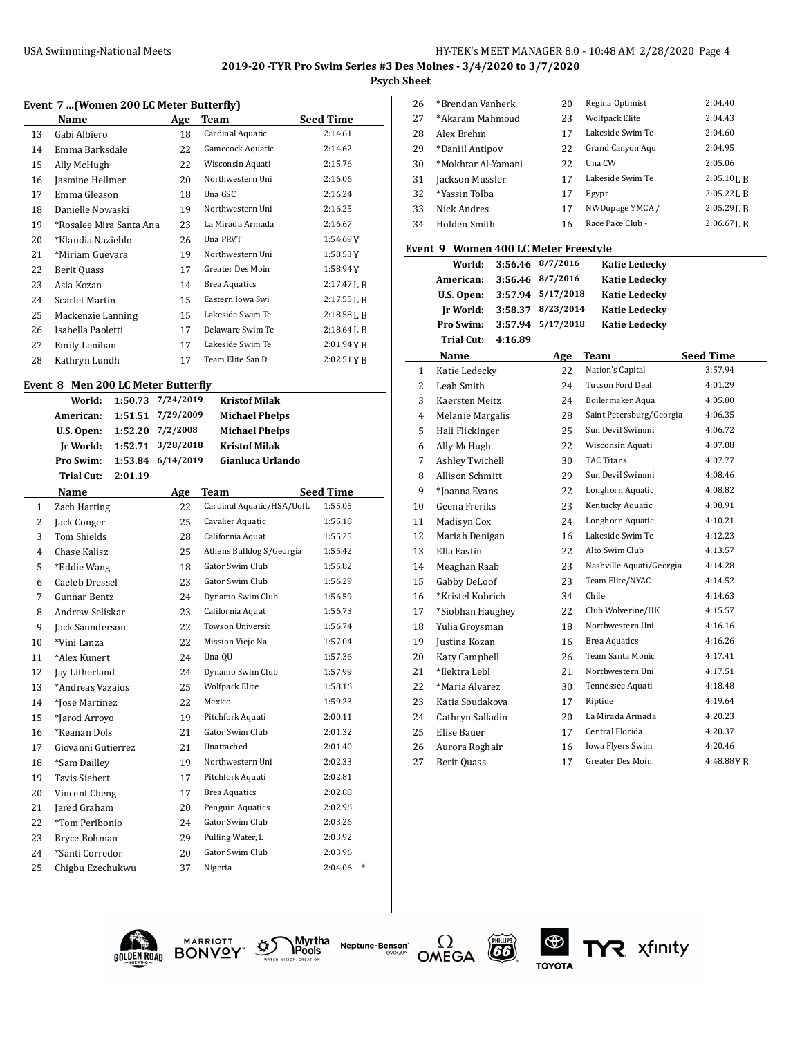## **Psych Sheet**

## **Event 7 ...(Women 200 LC Meter Butterfly)**

|    | Name                    | Age | Team                 | <b>Seed Time</b> |
|----|-------------------------|-----|----------------------|------------------|
| 13 | Gabi Albiero            | 18  | Cardinal Aquatic     | 2:14.61          |
| 14 | Emma Barksdale          | 22  | Gamecock Aquatic     | 2:14.62          |
| 15 | Ally McHugh             | 22  | Wisconsin Aquati     | 2:15.76          |
| 16 | Jasmine Hellmer         | 20  | Northwestern Uni     | 2:16.06          |
| 17 | Emma Gleason            | 18  | Una GSC              | 2:16.24          |
| 18 | Danielle Nowaski        | 19  | Northwestern Uni     | 2:16.25          |
| 19 | *Rosalee Mira Santa Ana | 23  | La Mirada Armada     | 2:16.67          |
| 20 | *Klaudia Nazieblo       | 26  | Una PRVT             | 1:54.69Y         |
| 21 | *Miriam Guevara         | 19  | Northwestern Uni     | 1:58.53Y         |
| 22 | Berit Quass             | 17  | Greater Des Moin     | 1:58.94Y         |
| 23 | Asia Kozan              | 14  | <b>Brea Aquatics</b> | $2:17.47$ J, B   |
| 24 | Scarlet Martin          | 15  | Eastern Iowa Swi     | 2:17.55L B       |
| 25 | Mackenzie Lanning       | 15  | Lakeside Swim Te     | 2:18.58L B       |
| 26 | Isabella Paoletti       | 17  | Delaware Swim Te     | $2:18.64$ J, B   |
| 27 | Emily Lenihan           | 17  | Lakeside Swim Te     | $2:01.94$ Y B    |
| 28 | Kathryn Lundh           | 17  | Team Elite San D     | 2:02.51 Y B      |

#### **Event 8 Men 200 LC Meter Butterfly**

|                | World:               | 1:50.73 | 7/24/2019 | <b>Kristof Milak</b>      |                  |        |
|----------------|----------------------|---------|-----------|---------------------------|------------------|--------|
|                | American:            | 1:51.51 | 7/29/2009 | <b>Michael Phelps</b>     |                  |        |
|                | U.S. Open:           | 1:52.20 | 7/2/2008  | <b>Michael Phelps</b>     |                  |        |
|                | Ir World:            | 1:52.71 | 3/28/2018 | <b>Kristof Milak</b>      |                  |        |
|                | Pro Swim:            | 1:53.84 | 6/14/2019 | Gianluca Urlando          |                  |        |
|                | <b>Trial Cut:</b>    | 2:01.19 |           |                           |                  |        |
|                | <b>Name</b>          |         | Age       | <b>Team</b>               | <b>Seed Time</b> |        |
| $\mathbf{1}$   | Zach Harting         |         | 22        | Cardinal Aquatic/HSA/UofL | 1:55.05          |        |
| 2              | Jack Conger          |         | 25        | Cavalier Aquatic          | 1:55.18          |        |
| 3              | <b>Tom Shields</b>   |         | 28        | California Aquat          | 1:55.25          |        |
| $\overline{4}$ | Chase Kalisz         |         | 25        | Athens Bulldog S/Georgia  | 1:55.42          |        |
| 5              | *Eddie Wang          |         | 18        | Gator Swim Club           | 1:55.82          |        |
| 6              | Caeleb Dressel       |         | 23        | Gator Swim Club           | 1:56.29          |        |
| 7              | <b>Gunnar Bentz</b>  |         | 24        | Dynamo Swim Club          | 1:56.59          |        |
| 8              | Andrew Seliskar      |         | 23        | California Aquat          | 1:56.73          |        |
| 9              | Jack Saunderson      |         | 22        | Towson Universit          | 1:56.74          |        |
| 10             | *Vini Lanza          |         | 22        | Mission Viejo Na          | 1:57.04          |        |
| 11             | *Alex Kunert         |         | 24        | Una QU                    | 1:57.36          |        |
| 12             | Jay Litherland       |         | 24        | Dynamo Swim Club          | 1:57.99          |        |
| 13             | *Andreas Vazaios     |         | 25        | <b>Wolfpack Elite</b>     | 1:58.16          |        |
| 14             | *Iose Martinez       |         | 22        | Mexico                    | 1:59.23          |        |
| 15             | *Jarod Arroyo        |         | 19        | Pitchfork Aquati          | 2:00.11          |        |
| 16             | *Keanan Dols         |         | 21        | Gator Swim Club           | 2:01.32          |        |
| 17             | Giovanni Gutierrez   |         | 21        | Unattached                | 2:01.40          |        |
| 18             | *Sam Dailley         |         | 19        | Northwestern Uni          | 2:02.33          |        |
| 19             | <b>Tavis Siebert</b> |         | 17        | Pitchfork Aquati          | 2:02.81          |        |
| 20             | Vincent Cheng        |         | 17        | <b>Brea Aquatics</b>      | 2:02.88          |        |
| 21             | Jared Graham         |         | 20        | Penguin Aquatics          | 2:02.96          |        |
| 22             | *Tom Peribonio       |         | 24        | Gator Swim Club           | 2:03.26          |        |
| 23             | Bryce Bohman         |         | 29        | Pulling Water, L          | 2:03.92          |        |
| 24             | *Santi Corredor      |         | 20        | Gator Swim Club           | 2:03.96          |        |
| 25             | Chigbu Ezechukwu     |         | 37        | Nigeria                   | 2:04.06          | $\ast$ |
|                |                      |         |           |                           |                  |        |

| 26 | *Brendan Vanherk   | 20 | Regina Optimist       | 2:04.40        |
|----|--------------------|----|-----------------------|----------------|
| 27 | *Akaram Mahmoud    | 23 | <b>Wolfpack Elite</b> | 2:04.43        |
| 28 | Alex Brehm         | 17 | Lakeside Swim Te      | 2:04.60        |
| 29 | *Daniil Antipov    | 22 | Grand Canyon Agu      | 2:04.95        |
| 30 | *Mokhtar Al-Yamani | 22 | Una CW                | 2:05.06        |
| 31 | Jackson Mussler    | 17 | Lakeside Swim Te      | $2:05.10$ J, R |
| 32 | *Yassin Tolba      | 17 | Egypt                 | $2:05.22$ J, R |
| 33 | Nick Andres        | 17 | NWDupage YMCA /       | $2:05.29$ J. B |
| 34 | Holden Smith       | 16 | Race Pace Club -      | $2:06.67$ J. R |
|    |                    |    |                       |                |

#### **Event 9 Women 400 LC Meter Freestyle**

| World:            |         | 3:56.46 8/7/2016   | <b>Katie Ledecky</b> |
|-------------------|---------|--------------------|----------------------|
| American:         |         | $3:56.46$ 8/7/2016 | <b>Katie Ledecky</b> |
| U.S. Open:        |         | 3:57.94 5/17/2018  | <b>Katie Ledecky</b> |
| Ir World:         |         | 3:58.37 8/23/2014  | <b>Katie Ledecky</b> |
| Pro Swim:         |         | 3:57.94 5/17/2018  | <b>Katie Ledecky</b> |
| <b>Trial Cut:</b> | 4:16.89 |                    |                      |
| Name              |         | Δσρ                | Team                 |

| $\mathbf{1}$ | Katie Ledecky      | 22 | Nation's Capital         | 3:57.94   |
|--------------|--------------------|----|--------------------------|-----------|
| 2            | Leah Smith         | 24 | Tucson Ford Deal         | 4:01.29   |
| 3            | Kaersten Meitz     | 24 | Boilermaker Aqua         | 4:05.80   |
| 4            | Melanie Margalis   | 28 | Saint Petersburg/Georgia | 4:06.35   |
| 5            | Hali Flickinger    | 25 | Sun Devil Swimmi         | 4:06.72   |
| 6            | Ally McHugh        | 22 | Wisconsin Aquati         | 4:07.08   |
| 7            | Ashley Twichell    | 30 | <b>TAC Titans</b>        | 4:07.77   |
| 8            | Allison Schmitt    | 29 | Sun Devil Swimmi         | 4:08.46   |
| 9            | *Joanna Evans      | 22 | Longhorn Aquatic         | 4:08.82   |
| 10           | Geena Freriks      | 23 | Kentucky Aquatic         | 4:08.91   |
| 11           | Madisyn Cox        | 24 | Longhorn Aquatic         | 4:10.21   |
| 12           | Mariah Denigan     | 16 | Lakeside Swim Te         | 4:12.23   |
| 13           | Ella Eastin        | 22 | Alto Swim Club           | 4:13.57   |
| 14           | Meaghan Raab       | 23 | Nashville Aquati/Georgia | 4:14.28   |
| 15           | Gabby DeLoof       | 23 | Team Elite/NYAC          | 4:14.52   |
| 16           | *Kristel Kobrich   | 34 | Chile                    | 4:14.63   |
| 17           | *Siobhan Haughey   | 22 | Club Wolverine/HK        | 4:15.57   |
| 18           | Yulia Groysman     | 18 | Northwestern Uni         | 4:16.16   |
| 19           | Justina Kozan      | 16 | <b>Brea Aquatics</b>     | 4:16.26   |
| 20           | Katy Campbell      | 26 | Team Santa Monic         | 4:17.41   |
| 21           | *Ilektra Lebl      | 21 | Northwestern Uni         | 4:17.51   |
| 22           | *Maria Alvarez     | 30 | Tennessee Aquati         | 4:18.48   |
| 23           | Katia Soudakova    | 17 | Riptide                  | 4:19.64   |
| 24           | Cathryn Salladin   | 20 | La Mirada Armada         | 4:20.23   |
| 25           | Elise Bauer        | 17 | Central Florida          | 4:20.37   |
| 26           | Aurora Roghair     | 16 | Iowa Flyers Swim         | 4:20.46   |
| 27           | <b>Berit Quass</b> | 17 | <b>Greater Des Moin</b>  | 4:48.88YB |

**Seed Time** 











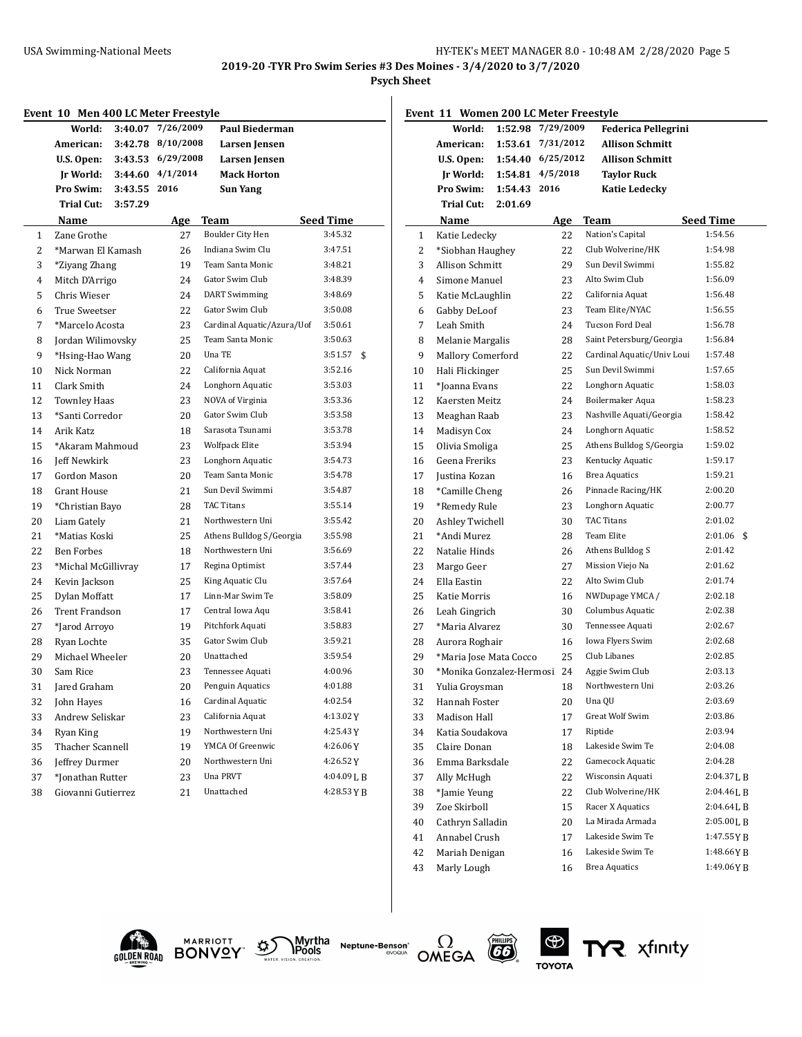**2019-20 -TYR Pro Swim Series #3 Des Moines - 3/4/2020 to 3/7/2020**

#### **Psych Sheet**

|                 | World:                  |              | 3:40.07 7/26/2009 | <b>Paul Biederman</b>      |                  |                         | World:                      |              | 1:52.98 7/29/2009 | <b>Federica Pellegrini</b> |                  |
|-----------------|-------------------------|--------------|-------------------|----------------------------|------------------|-------------------------|-----------------------------|--------------|-------------------|----------------------------|------------------|
|                 | American:               |              | 3:42.78 8/10/2008 | Larsen Jensen              |                  |                         | American:                   |              | 1:53.61 7/31/2012 | <b>Allison Schmitt</b>     |                  |
|                 | U.S. Open:              |              | 3:43.53 6/29/2008 | Larsen Jensen              |                  |                         | U.S. Open:                  |              | 1:54.40 6/25/2012 | <b>Allison Schmitt</b>     |                  |
|                 | <b>Jr World:</b>        |              | 3:44.60 4/1/2014  | <b>Mack Horton</b>         |                  |                         | Ir World:                   |              | 1:54.81 4/5/2018  | <b>Taylor Ruck</b>         |                  |
|                 | Pro Swim:               | 3:43.55 2016 |                   | <b>Sun Yang</b>            |                  |                         | Pro Swim:                   | 1:54.43 2016 |                   | <b>Katie Ledecky</b>       |                  |
|                 | Trial Cut:              | 3:57.29      |                   |                            |                  |                         | Trial Cut:                  | 2:01.69      |                   |                            |                  |
| Name            |                         |              | Age               | <b>Team</b>                | <b>Seed Time</b> |                         | Name                        |              | Age               | <b>Team</b>                | <b>Seed Time</b> |
| 1               | Zane Grothe             |              | 27                | Boulder City Hen           | 3:45.32          | $\mathbf{1}$            | Katie Ledecky               |              | 22                | Nation's Capital           | 1:54.56          |
| $\overline{2}$  | *Marwan El Kamash       |              | 26                | Indiana Swim Clu           | 3:47.51          | $\overline{\mathbf{c}}$ | *Siobhan Haughey            |              | 22                | Club Wolverine/HK          | 1:54.98          |
| 3               | *Ziyang Zhang           |              | 19                | Team Santa Monic           | 3:48.21          | 3                       | <b>Allison Schmitt</b>      |              | 29                | Sun Devil Swimmi           | 1:55.82          |
| 4               | Mitch D'Arrigo          |              | 24                | Gator Swim Club            | 3:48.39          | 4                       | Simone Manuel               |              | 23                | Alto Swim Club             | 1:56.09          |
| 5               | Chris Wieser            |              | 24                | <b>DART</b> Swimming       | 3:48.69          | 5                       | Katie McLaughlin            |              | 22                | California Aquat           | 1:56.48          |
| 6               | True Sweetser           |              | 22                | Gator Swim Club            | 3:50.08          | 6                       | Gabby DeLoof                |              | 23                | Team Elite/NYAC            | 1:56.55          |
| 7               | *Marcelo Acosta         |              | 23                | Cardinal Aquatic/Azura/Uof | 3:50.61          | 7                       | Leah Smith                  |              | 24                | Tucson Ford Deal           | 1:56.78          |
| 8               | Jordan Wilimovsky       |              | 25                | Team Santa Monic           | 3:50.63          | 8                       | Melanie Margalis            |              | 28                | Saint Petersburg/Georgia   | 1:56.84          |
| 9               | *Hsing-Hao Wang         |              | 20                | Una TE                     | $3:51.57$ \$     | 9                       | <b>Mallory Comerford</b>    |              | 22                | Cardinal Aquatic/Univ Loui | 1:57.48          |
| 10              | Nick Norman             |              | 22                | California Aquat           | 3:52.16          | 10                      | Hali Flickinger             |              | 25                | Sun Devil Swimmi           | 1:57.65          |
| 11              | Clark Smith             |              | 24                | Longhorn Aquatic           | 3:53.03          | 11                      | *Ioanna Evans               |              | 22                | Longhorn Aquatic           | 1:58.03          |
| 12              | <b>Townley Haas</b>     |              | 23                | NOVA of Virginia           | 3:53.36          | 12                      | Kaersten Meitz              |              | 24                | Boilermaker Aqua           | 1:58.23          |
| 13              | *Santi Corredor         |              | 20                | Gator Swim Club            | 3:53.58          | 13                      | Meaghan Raab                |              | 23                | Nashville Aquati/Georgia   | 1:58.42          |
| Arik Katz<br>14 |                         |              | 18                | Sarasota Tsunami           | 3:53.78          | 14                      | Madisyn Cox                 |              | 24                | Longhorn Aquatic           | 1:58.52          |
| 15              | *Akaram Mahmoud         |              | 23                | <b>Wolfpack Elite</b>      | 3:53.94          | 15                      | Olivia Smoliga              |              | 25                | Athens Bulldog S/Georgia   | 1:59.02          |
| 16              | Jeff Newkirk            |              | 23                | Longhorn Aquatic           | 3:54.73          | 16                      | Geena Freriks               |              | 23                | Kentucky Aquatic           | 1:59.17          |
| 17              | Gordon Mason            |              | 20                | Team Santa Monic           | 3:54.78          | 17                      | Justina Kozan               |              | 16                | <b>Brea Aquatics</b>       | 1:59.21          |
| 18              | <b>Grant House</b>      |              | 21                | Sun Devil Swimmi           | 3:54.87          | 18                      | *Camille Cheng              |              | 26                | Pinnacle Racing/HK         | 2:00.20          |
| 19              | *Christian Bayo         |              | 28                | <b>TAC Titans</b>          | 3:55.14          | 19                      | *Remedy Rule                |              | 23                | Longhorn Aquatic           | 2:00.77          |
| 20              | Liam Gately             |              | 21                | Northwestern Uni           | 3:55.42          | 20                      | Ashley Twichell             |              | 30                | <b>TAC Titans</b>          | 2:01.02          |
| 21              | *Matias Koski           |              | 25                | Athens Bulldog S/Georgia   | 3:55.98          | 21                      | *Andi Murez                 |              | 28                | Team Elite                 | $2:01.06$ \$     |
| 22              | <b>Ben Forbes</b>       |              | 18                | Northwestern Uni           | 3:56.69          | 22                      | Natalie Hinds               |              | 26                | Athens Bulldog S           | 2:01.42          |
| 23              | *Michal McGillivray     |              | 17                | Regina Optimist            | 3:57.44          | 23                      | Margo Geer                  |              | 27                | Mission Viejo Na           | 2:01.62          |
| 24              | Kevin Jackson           |              | 25                | King Aquatic Clu           | 3:57.64          | 24                      | Ella Eastin                 |              | 22                | Alto Swim Club             | 2:01.74          |
| 25              | Dylan Moffatt           |              | 17                | Linn-Mar Swim Te           | 3:58.09          | 25                      | Katie Morris                |              | 16                | NWDupage YMCA /            | 2:02.18          |
| 26              | <b>Trent Frandson</b>   |              | 17                | Central Iowa Aqu           | 3:58.41          | 26                      | Leah Gingrich               |              | 30                | Columbus Aquatic           | 2:02.38          |
| 27              | *Jarod Arroyo           |              | 19                | Pitchfork Aquati           | 3:58.83          | 27                      | *Maria Alvarez              |              | 30                | Tennessee Aquati           | 2:02.67          |
| 28              | Ryan Lochte             |              | 35                | Gator Swim Club            | 3:59.21          | 28                      | Aurora Roghair              |              | 16                | Iowa Flyers Swim           | 2:02.68          |
| 29              | Michael Wheeler         |              | 20                | Unattached                 | 3:59.54          | 29                      | *Maria Jose Mata Cocco      |              | 25                | Club Libanes               | 2:02.85          |
| 30<br>Sam Rice  |                         |              | 23                | Tennessee Aquati           | 4:00.96          | 30                      | *Monika Gonzalez-Hermosi 24 |              |                   | Aggie Swim Club            | 2:03.13          |
| 31              | Jared Graham            |              | 20                | Penguin Aquatics           | 4:01.88          | 31                      | Yulia Groysman              |              | 18                | Northwestern Uni           | 2:03.26          |
| 32              | John Hayes              |              | 16                | Cardinal Aquatic           | 4:02.54          | 32                      | Hannah Foster               |              | 20                | Una QU                     | 2:03.69          |
| 33              | Andrew Seliskar         |              | 23                | California Aquat           | 4:13.02Y         | 33                      | Madison Hall                |              | 17                | Great Wolf Swim            | 2:03.86          |
| 34              | Ryan King               |              | 19                | Northwestern Uni           | 4:25.43Y         | 34                      | Katia Soudakova             |              | 17                | Riptide                    | 2:03.94          |
| 35              | <b>Thacher Scannell</b> |              | 19                | YMCA Of Greenwic           | 4:26.06Y         | 35                      | Claire Donan                |              | 18                | Lakeside Swim Te           | 2:04.08          |
| 36              | Jeffrey Durmer          |              | 20                | Northwestern Uni           | 4:26.52Y         | 36                      | Emma Barksdale              |              | 22                | Gamecock Aquatic           | 2:04.28          |
| 37              | *Jonathan Rutter        |              | 23                | Una PRVT                   | 4:04.09LB        | 37                      | Ally McHugh                 |              | 22                | Wisconsin Aquati           | 2:04.37LB        |
| 38              | Giovanni Gutierrez      |              | 21                | Unattached                 | 4:28.53 Y B      | 38                      | *Jamie Yeung                |              | 22                | Club Wolverine/HK          | 2:04.46LB        |
|                 |                         |              |                   |                            |                  | 39                      | Zoe Skirboll                |              | 15                | Racer X Aquatics           | 2:04.64LB        |
|                 |                         |              |                   |                            |                  | 40                      | Cathryn Salladin            |              | 20                | La Mirada Armada           | 2:05.00LB        |
|                 |                         |              |                   |                            |                  | 41                      | Annabel Crush               |              | 17                | Lakeside Swim Te           | 1:47.55 Y B      |





Myrtha<br>**\Pools Neptune-Benson**\*<br>evoqua





 Mariah Denigan 16 Lakeside Swim Te 1:48.66Y B Marly Lough 16 Brea Aquatics 1:49.06Y B

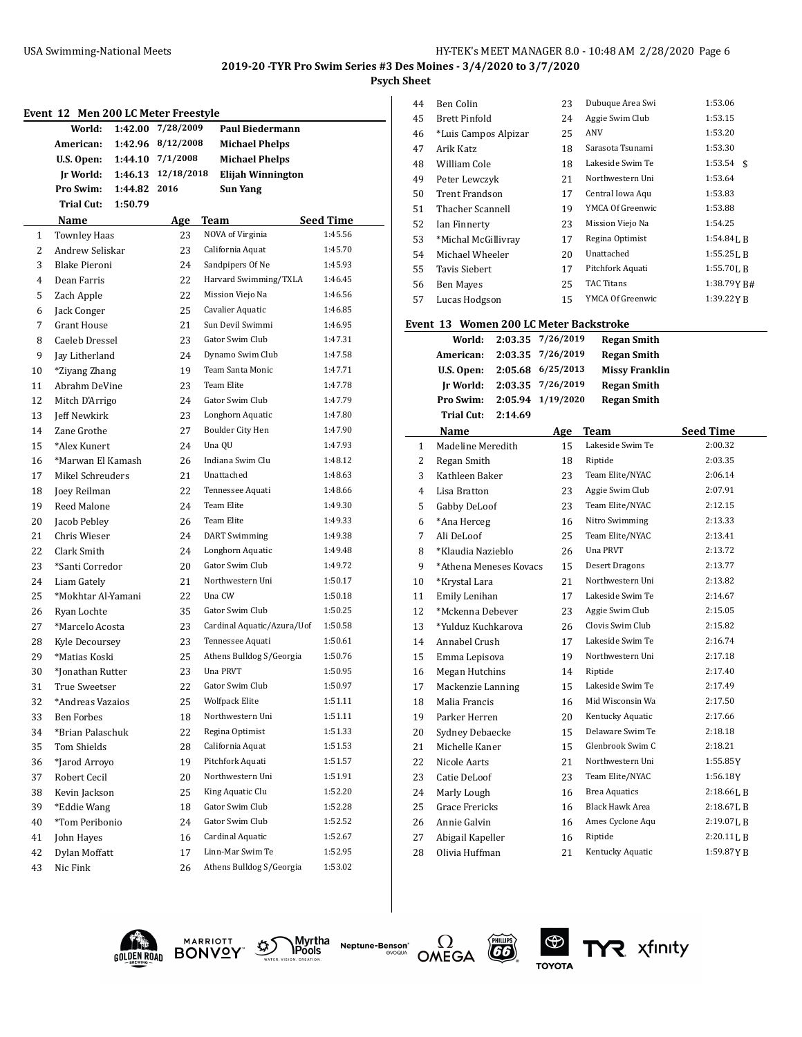$\frac{1}{2}$ 

**Psych Sheet**

| Event 12 Men 200 LC Meter Freestyle |  |  |  |
|-------------------------------------|--|--|--|
|-------------------------------------|--|--|--|

| Event 12     |                                       |                    | Men 200 LC Meter Freestyle |                                      |                      |
|--------------|---------------------------------------|--------------------|----------------------------|--------------------------------------|----------------------|
|              | World:                                | 1:42.00            | 7/28/2009                  | <b>Paul Biedermann</b>               |                      |
|              | American:                             | 1:42.96            | 8/12/2008                  | <b>Michael Phelps</b>                |                      |
|              | U.S. Open:                            |                    | 1:44.10 7/1/2008           | <b>Michael Phelps</b>                |                      |
|              | Jr World:                             |                    | 1:46.13 12/18/2018<br>2016 | Elijah Winnington                    |                      |
|              | <b>Pro Swim:</b><br><b>Trial Cut:</b> | 1:44.82<br>1:50.79 |                            | Sun Yang                             |                      |
|              |                                       |                    |                            |                                      |                      |
| $\mathbf{1}$ | Name<br><b>Townley Haas</b>           |                    | <b>Age</b><br>23           | Team<br>NOVA of Virginia             | Seed Time<br>1:45.56 |
| 2            | Andrew Seliskar                       |                    | 23                         | California Aquat                     | 1:45.70              |
| 3            | Blake Pieroni                         |                    | 24                         | Sandpipers Of Ne                     | 1:45.93              |
| 4            | Dean Farris                           |                    | 22                         | Harvard Swimming/TXLA                | 1:46.45              |
| 5            | Zach Apple                            |                    | 22                         | Mission Viejo Na                     | 1:46.56              |
| 6            | Jack Conger                           |                    | 25                         | Cavalier Aquatic                     | 1:46.85              |
| 7            | <b>Grant House</b>                    |                    | 21                         | Sun Devil Swimmi                     | 1:46.95              |
| 8            | Caeleb Dressel                        |                    | 23                         | Gator Swim Club                      | 1:47.31              |
| 9            | Jay Litherland                        |                    | 24                         | Dynamo Swim Club                     | 1:47.58              |
| 10           | *Ziyang Zhang                         |                    | 19                         | Team Santa Monic                     | 1:47.71              |
| 11           | Abrahm DeVine                         |                    | 23                         | <b>Team Elite</b>                    | 1:47.78              |
| 12           | Mitch D'Arrigo                        |                    | 24                         | Gator Swim Club                      | 1:47.79              |
| 13           | <b>Jeff Newkirk</b>                   |                    | 23                         | Longhorn Aquatic                     | 1:47.80              |
| 14           | Zane Grothe                           |                    | 27                         | Boulder City Hen                     | 1:47.90              |
| 15           | *Alex Kunert                          |                    | 24                         | Una QU                               | 1:47.93              |
| 16           | *Marwan El Kamash                     |                    | 26                         | Indiana Swim Clu                     | 1:48.12              |
| 17           | Mikel Schreuders                      |                    | 21                         | Unattached                           | 1:48.63              |
| 18           | Joey Reilman                          |                    | 22                         | Tennessee Aquati                     | 1:48.66              |
| 19           | Reed Malone                           |                    | 24                         | <b>Team Elite</b>                    | 1:49.30              |
| 20           | Jacob Pebley                          |                    | 26                         | Team Elite                           | 1:49.33              |
| 21           | Chris Wieser                          |                    | 24                         | <b>DART</b> Swimming                 | 1:49.38              |
| 22           | Clark Smith                           |                    | 24                         | Longhorn Aquatic                     | 1:49.48              |
| 23           | *Santi Corredor                       |                    | 20                         | Gator Swim Club                      | 1:49.72              |
| 24           | Liam Gately                           |                    | 21                         | Northwestern Uni                     | 1:50.17              |
| 25           | *Mokhtar Al-Yamani                    |                    | 22                         | Una CW                               | 1:50.18              |
| 26           | Ryan Lochte                           |                    | 35                         | Gator Swim Club                      | 1:50.25              |
| 27           | *Marcelo Acosta                       |                    | 23                         | Cardinal Aquatic/Azura/Uof           | 1:50.58              |
| 28           | Kyle Decoursey                        |                    | 23                         | Tennessee Aquati                     | 1:50.61              |
| 29           | *Matias Koski                         |                    | 25                         | Athens Bulldog S/Georgia             | 1:50.76              |
| 30           | *Jonathan Rutter                      |                    | 23                         | Una PRVT                             | 1:50.95              |
| 31           | True Sweetser                         |                    | 22                         | Gator Swim Club                      | 1:50.97              |
| 32           | *Andreas Vazaios                      |                    | 25                         | <b>Wolfpack Elite</b>                | 1:51.11              |
| 33           | Ben Forbes                            |                    | 18                         | Northwestern Uni                     | 1:51.11              |
| 34           | *Brian Palaschuk                      |                    | 22                         | Regina Optimist                      | 1:51.33              |
| 35           | Tom Shields                           |                    | 28                         | California Aquat                     | 1:51.53              |
| 36           | *Jarod Arroyo                         |                    | 19                         | Pitchfork Aquati                     | 1:51.57<br>1:51.91   |
| 37           | Robert Cecil<br>Kevin Jackson         |                    | 20<br>25                   | Northwestern Uni<br>King Aquatic Clu | 1:52.20              |
| 38<br>39     | *Eddie Wang                           |                    | 18                         | Gator Swim Club                      | 1:52.28              |
| 40           | *Tom Peribonio                        |                    | 24                         | Gator Swim Club                      | 1:52.52              |
| 41           | John Hayes                            |                    | 16                         | Cardinal Aquatic                     | 1:52.67              |
| 42           | Dylan Moffatt                         |                    | 17                         | Linn-Mar Swim Te                     | 1:52.95              |
| 43           | Nic Fink                              |                    | 26                         | Athens Bulldog S/Georgia             | 1:53.02              |
|              |                                       |                    |                            |                                      |                      |

| 44 | Ben Colin            | 23 | Dubuque Area Swi  | 1:53.06        |
|----|----------------------|----|-------------------|----------------|
| 45 | <b>Brett Pinfold</b> | 24 | Aggie Swim Club   | 1:53.15        |
| 46 | *Luis Campos Alpizar | 25 | ANV               | 1:53.20        |
| 47 | Arik Katz            | 18 | Sarasota Tsunami  | 1:53.30        |
| 48 | William Cole         | 18 | Lakeside Swim Te  | 1:53.54<br>-\$ |
| 49 | Peter Lewczyk        | 21 | Northwestern Uni  | 1:53.64        |
| 50 | Trent Frandson       | 17 | Central Iowa Aqu  | 1:53.83        |
| 51 | Thacher Scannell     | 19 | YMCA Of Greenwic  | 1:53.88        |
| 52 | Ian Finnerty         | 23 | Mission Viejo Na  | 1:54.25        |
| 53 | *Michal McGillivray  | 17 | Regina Optimist   | $1:54.84$ J. R |
| 54 | Michael Wheeler      | 20 | Unattached        | $1:55.25$ J, B |
| 55 | Tavis Siebert        | 17 | Pitchfork Aquati  | $1:55.70$ J, B |
| 56 | Ben Mayes            | 25 | <b>TAC Titans</b> | 1:38.79Y B#    |
| 57 | Lucas Hodgson        | 15 | YMCA Of Greenwic  | 1:39.22YB      |
|    |                      |    |                   |                |

## **Event 13 Women 200 LC Meter Backstroke**

|    | World:                 | 2:03.35 | 7/26/2019 | <b>Regan Smith</b>     |                  |
|----|------------------------|---------|-----------|------------------------|------------------|
|    | American:              | 2:03.35 | 7/26/2019 | <b>Regan Smith</b>     |                  |
|    | U.S. Open:             | 2:05.68 | 6/25/2013 | <b>Missy Franklin</b>  |                  |
|    | <b>Jr World:</b>       | 2:03.35 | 7/26/2019 | <b>Regan Smith</b>     |                  |
|    | Pro Swim:              | 2:05.94 | 1/19/2020 | <b>Regan Smith</b>     |                  |
|    | <b>Trial Cut:</b>      | 2:14.69 |           |                        |                  |
|    | Name                   |         | Age       | Team                   | <b>Seed Time</b> |
| 1  | Madeline Meredith      |         | 15        | Lakeside Swim Te       | 2:00.32          |
| 2  | Regan Smith            |         | 18        | Riptide                | 2:03.35          |
| 3  | Kathleen Baker         |         | 23        | Team Elite/NYAC        | 2:06.14          |
| 4  | Lisa Bratton           |         | 23        | Aggie Swim Club        | 2:07.91          |
| 5  | Gabby DeLoof           |         | 23        | Team Elite/NYAC        | 2:12.15          |
| 6  | *Ana Herceg            |         | 16        | Nitro Swimming         | 2:13.33          |
| 7  | Ali DeLoof             |         | 25        | Team Elite/NYAC        | 2:13.41          |
| 8  | *Klaudia Nazieblo      |         | 26        | Una PRVT               | 2:13.72          |
| 9  | *Athena Meneses Kovacs |         | 15        | <b>Desert Dragons</b>  | 2:13.77          |
| 10 | *Krystal Lara          |         | 21        | Northwestern Uni       | 2:13.82          |
| 11 | Emily Lenihan          |         | 17        | Lakeside Swim Te       | 2:14.67          |
| 12 | *Mckenna Debever       |         | 23        | Aggie Swim Club        | 2:15.05          |
| 13 | *Yulduz Kuchkarova     |         | 26        | Clovis Swim Club       | 2:15.82          |
| 14 | Annabel Crush          |         | 17        | Lakeside Swim Te       | 2:16.74          |
| 15 | Emma Lepisova          |         | 19        | Northwestern Uni       | 2:17.18          |
| 16 | Megan Hutchins         |         | 14        | Riptide                | 2:17.40          |
| 17 | Mackenzie Lanning      |         | 15        | Lakeside Swim Te       | 2:17.49          |
| 18 | Malia Francis          |         | 16        | Mid Wisconsin Wa       | 2:17.50          |
| 19 | Parker Herren          |         | 20        | Kentucky Aquatic       | 2:17.66          |
| 20 | Sydney Debaecke        |         | 15        | Delaware Swim Te       | 2:18.18          |
| 21 | Michelle Kaner         |         | 15        | Glenbrook Swim C       | 2:18.21          |
| 22 | Nicole Aarts           |         | 21        | Northwestern Uni       | 1:55.85Y         |
| 23 | Catie DeLoof           |         | 23        | Team Elite/NYAC        | 1:56.18Y         |
| 24 | Marly Lough            |         | 16        | <b>Brea Aquatics</b>   | 2:18.66 L B      |
| 25 | Grace Frericks         |         | 16        | <b>Black Hawk Area</b> | 2:18.67LB        |
| 26 | Annie Galvin           |         | 16        | Ames Cyclone Aqu       | 2:19.07LB        |
| 27 | Abigail Kapeller       |         | 16        | Riptide                | 2:20.11 L B      |
| 28 | Olivia Huffman         |         | 21        | Kentucky Aquatic       | 1:59.87YB        |





Myrtha<br>TPools Neptune-Benson\*





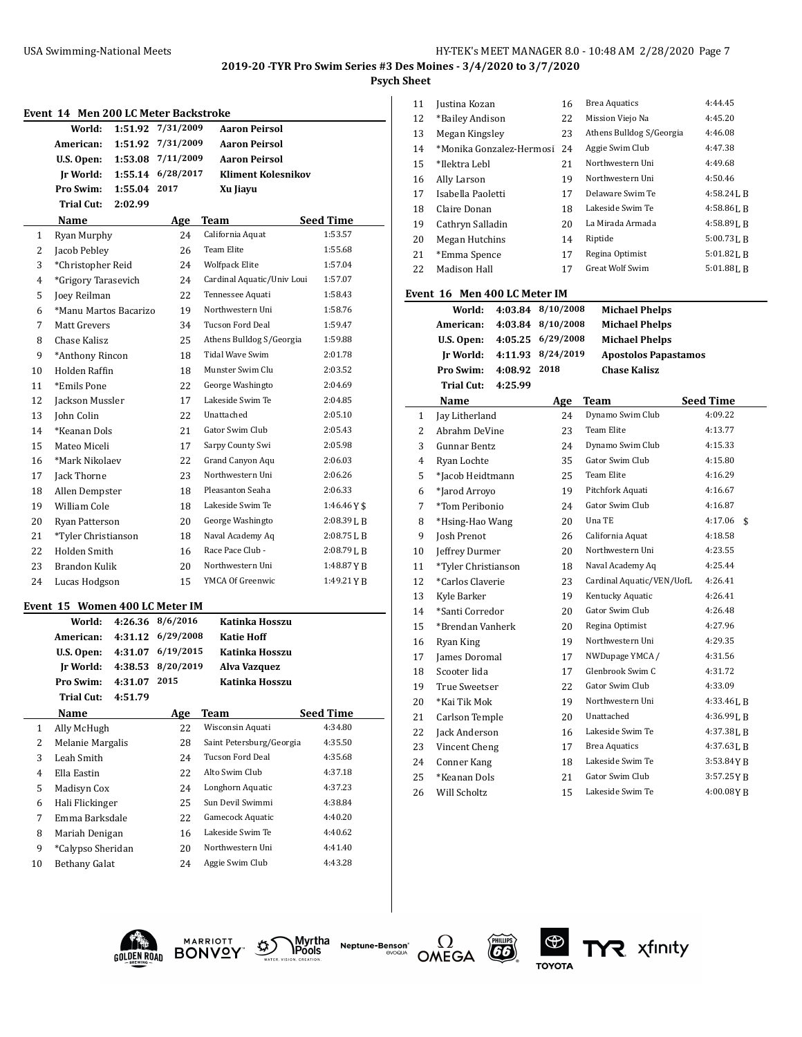**Psych Sheet**

| Event 14 Men 200 LC Meter Backstroke |  |
|--------------------------------------|--|
|--------------------------------------|--|

|              | World:                                    | 1:51.92 | 7/31/2009                                      | <b>Aaron Peirsol</b>       |                  |
|--------------|-------------------------------------------|---------|------------------------------------------------|----------------------------|------------------|
|              | American:                                 | 1:51.92 | 7/31/2009                                      | <b>Aaron Peirsol</b>       |                  |
|              | U.S. Open:                                | 1:53.08 | 7/11/2009                                      | Aaron Peirsol              |                  |
|              | Ir World:                                 | 1:55.14 | 6/28/2017                                      | <b>Kliment Kolesnikov</b>  |                  |
|              | Pro Swim:                                 | 1:55.04 | 2017                                           | Xu Jiayu                   |                  |
|              | <b>Trial Cut:</b>                         | 2:02.99 |                                                |                            |                  |
|              | Name                                      |         | <b>Age</b>                                     | Team                       | <b>Seed Time</b> |
| $\mathbf{1}$ | Ryan Murphy                               |         | 24                                             | California Aquat           | 1:53.57          |
| 2            | Jacob Pebley                              |         | 26                                             | <b>Team Elite</b>          | 1:55.68          |
| 3            | *Christopher Reid                         |         | 24                                             | <b>Wolfpack Elite</b>      | 1:57.04          |
| 4            | *Grigory Tarasevich                       |         | 24                                             | Cardinal Aquatic/Univ Loui | 1:57.07          |
| 5            | Joey Reilman                              |         | 22                                             | Tennessee Aquati           | 1:58.43          |
| 6            | *Manu Martos Bacarizo                     |         | 19                                             | Northwestern Uni           | 1:58.76          |
| 7            | Matt Grevers                              |         | 34                                             | <b>Tucson Ford Deal</b>    | 1:59.47          |
| 8            | Chase Kalisz                              |         | 25                                             | Athens Bulldog S/Georgia   | 1:59.88          |
| 9            | *Anthony Rincon                           |         | 18                                             | Tidal Wave Swim            | 2:01.78          |
| 10           | <b>Holden Raffin</b>                      |         | 18                                             | Munster Swim Clu           | 2:03.52          |
| 11           | *Emils Pone                               |         | 22                                             | George Washingto           | 2:04.69          |
| 12           | Jackson Mussler                           |         | 17                                             | Lakeside Swim Te           | 2:04.85          |
| 13           | John Colin                                |         | 22                                             | Unattached                 | 2:05.10          |
| 14           | *Keanan Dols                              |         | 21                                             | Gator Swim Club            | 2:05.43          |
| 15           | Mateo Miceli                              |         | 17                                             | Sarpy County Swi           | 2:05.98          |
| 16           | *Mark Nikolaev                            |         | 22                                             | Grand Canyon Aqu           | 2:06.03          |
| 17           | Jack Thorne                               |         | 23                                             | Northwestern Uni           | 2:06.26          |
| 18           | Allen Dempster                            |         | 18                                             | Pleasanton Seaha           | 2:06.33          |
| 19           | William Cole                              |         | 18                                             | Lakeside Swim Te           | $1:46.46Y$ \$    |
| 20           | Ryan Patterson                            |         | 20                                             | George Washingto           | $2:08.39$ J, B   |
| 21           | *Tyler Christianson                       |         | 18                                             | Naval Academy Aq           | 2:08.75 L B      |
| 22           | Holden Smith                              |         | 16                                             | Race Pace Club -           | $2:08.79$ J, B   |
| 23           | <b>Brandon Kulik</b>                      |         | 20                                             | Northwestern Uni           | 1:48.87YB        |
| 24           | Lucas Hodgson                             |         | 15                                             | YMCA Of Greenwic           | 1:49.21YB        |
|              |                                           |         |                                                |                            |                  |
|              | Event 15 Women 400 LC Meter IM            |         |                                                |                            |                  |
|              | World:                                    |         | 4:26.36 8/6/2016                               | Katinka Hosszu             |                  |
|              | American:<br>$\mathbf{H} \cap \mathbf{A}$ |         | 4:31.12 6/29/2008<br>$4.24.07 \times 110/2015$ | <b>Katie Hoff</b><br>17.11 |                  |

|    | u.s. upen:<br>4:31.UZ       | 0/19/2013 | Katinka Hosszu           |                  |
|----|-----------------------------|-----------|--------------------------|------------------|
|    | 4:38.53<br>Ir World:        | 8/20/2019 | Alva Vazquez             |                  |
|    | <b>Pro Swim:</b><br>4:31.07 | 2015      | Katinka Hosszu           |                  |
|    | Trial Cut:<br>4:51.79       |           |                          |                  |
|    | Name                        | Age       | Team                     | <b>Seed Time</b> |
| 1  | Ally McHugh                 | 22        | Wisconsin Aquati         | 4:34.80          |
| 2  | Melanie Margalis            | 28        | Saint Petersburg/Georgia | 4:35.50          |
| 3  | Leah Smith                  | 24        | Tucson Ford Deal         | 4:35.68          |
| 4  | Ella Eastin                 | 22        | Alto Swim Club           | 4:37.18          |
| 5  | Madisyn Cox                 | 24        | Longhorn Aquatic         | 4:37.23          |
| 6  | Hali Flickinger             | 25        | Sun Devil Swimmi         | 4:38.84          |
| 7  | Emma Barksdale              | 22        | Gamecock Aquatic         | 4:40.20          |
| 8  | Mariah Denigan              | 16        | Lakeside Swim Te         | 4:40.62          |
| 9  | *Calypso Sheridan           | 20        | Northwestern Uni         | 4:41.40          |
| 10 | Bethany Galat               | 24        | Aggie Swim Club          | 4:43.28          |

| 11 | Justina Kozan            | 16 | <b>Brea Aquatics</b>     | 4:44.45        |
|----|--------------------------|----|--------------------------|----------------|
| 12 | *Bailey Andison          | 22 | Mission Viejo Na         | 4:45.20        |
| 13 | Megan Kingsley           | 23 | Athens Bulldog S/Georgia | 4:46.08        |
| 14 | *Monika Gonzalez-Hermosi | 24 | Aggie Swim Club          | 4:47.38        |
| 15 | *Ilektra Lebl            | 21 | Northwestern Uni         | 4:49.68        |
| 16 | Ally Larson              | 19 | Northwestern Uni         | 4:50.46        |
| 17 | Isabella Paoletti        | 17 | Delaware Swim Te         | $4:58.24$ J. R |
| 18 | Claire Donan             | 18 | Lakeside Swim Te         | $4:58.86$ J, B |
| 19 | Cathryn Salladin         | 20 | La Mirada Armada         | $4:58.89$ J. R |
| 20 | Megan Hutchins           | 14 | Riptide                  | $5:00.73$ J. R |
| 21 | *Emma Spence             | 17 | Regina Optimist          | $5:01.82$ J, B |
| 22 | Madison Hall             | 17 | Great Wolf Swim          | $5:01.88$ J, B |
|    |                          |    |                          |                |

## **Event 16 Men 400 LC Meter IM**

|    | vent to men 400 lumeter im |         |           |                             |                  |
|----|----------------------------|---------|-----------|-----------------------------|------------------|
|    | World:                     | 4:03.84 | 8/10/2008 | <b>Michael Phelps</b>       |                  |
|    | American:                  | 4:03.84 | 8/10/2008 | <b>Michael Phelps</b>       |                  |
|    | U.S. Open:                 | 4:05.25 | 6/29/2008 | <b>Michael Phelps</b>       |                  |
|    | Ir World:                  | 4:11.93 | 8/24/2019 | <b>Apostolos Papastamos</b> |                  |
|    | Pro Swim:                  | 4:08.92 | 2018      | <b>Chase Kalisz</b>         |                  |
|    | Trial Cut:                 | 4:25.99 |           |                             |                  |
|    | Name                       |         | Age       | <b>Team</b>                 | <b>Seed Time</b> |
| 1  | Jay Litherland             |         | 24        | Dynamo Swim Club            | 4:09.22          |
| 2  | Abrahm DeVine              |         | 23        | <b>Team Elite</b>           | 4:13.77          |
| 3  | Gunnar Bentz               |         | 24        | Dynamo Swim Club            | 4:15.33          |
| 4  | Ryan Lochte                |         | 35        | Gator Swim Club             | 4:15.80          |
| 5  | *Jacob Heidtmann           |         | 25        | Team Elite                  | 4:16.29          |
| 6  | *Jarod Arroyo              |         | 19        | Pitchfork Aquati            | 4:16.67          |
| 7  | *Tom Peribonio             |         | 24        | Gator Swim Club             | 4:16.87          |
| 8  | *Hsing-Hao Wang            |         | 20        | Una TE                      | 4:17.06<br>\$    |
| 9  | <b>Josh Prenot</b>         |         | 26        | California Aquat            | 4:18.58          |
| 10 | Jeffrey Durmer             |         | 20        | Northwestern Uni            | 4:23.55          |
| 11 | *Tyler Christianson        |         | 18        | Naval Academy Aq            | 4:25.44          |
| 12 | *Carlos Claverie           |         | 23        | Cardinal Aquatic/VEN/UofL   | 4:26.41          |
| 13 | Kyle Barker                |         | 19        | Kentucky Aquatic            | 4:26.41          |
| 14 | *Santi Corredor            |         | 20        | Gator Swim Club             | 4:26.48          |
| 15 | *Brendan Vanherk           |         | 20        | Regina Optimist             | 4:27.96          |
| 16 | Ryan King                  |         | 19        | Northwestern Uni            | 4:29.35          |
| 17 | James Doromal              |         | 17        | NWDupage YMCA /             | 4:31.56          |
| 18 | Scooter Iida               |         | 17        | Glenbrook Swim C            | 4:31.72          |
| 19 | True Sweetser              |         | 22        | Gator Swim Club             | 4:33.09          |
| 20 | *Kai Tik Mok               |         | 19        | Northwestern Uni            | $4:33.46$ J, B   |
| 21 | Carlson Temple             |         | 20        | Unattached                  | 4:36.99 J.B      |
| 22 | Jack Anderson              |         | 16        | Lakeside Swim Te            | $4:37.38$ J, B   |
| 23 | Vincent Cheng              |         | 17        | <b>Brea Aquatics</b>        | $4:37.63$ J, B   |
| 24 | Conner Kang                |         | 18        | Lakeside Swim Te            | 3:53.84YB        |
| 25 | *Keanan Dols               |         | 21        | Gator Swim Club             | 3:57.25YB        |
| 26 | Will Scholtz               |         | 15        | Lakeside Swim Te            | 4:00.08YB        |





Myrtha<br>TPools **Neptune-Benson**\*





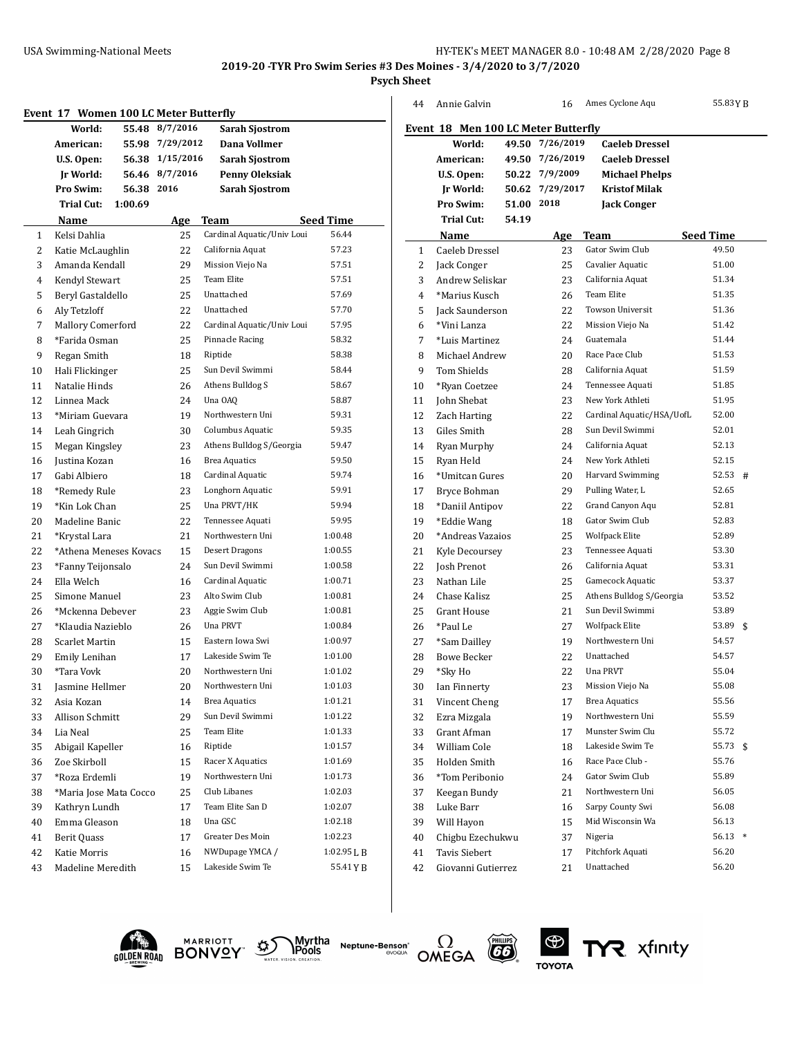**2019-20 -TYR Pro Swim Series #3 Des Moines - 3/4/2020 to 3/7/2020**

**Psych Sheet**

|    | Event 17 Women 100 LC Meter Butterfly |                 |                            |                  |    | Anni     |
|----|---------------------------------------|-----------------|----------------------------|------------------|----|----------|
|    | World:                                | 55.48 8/7/2016  | <b>Sarah Sjostrom</b>      |                  |    | Event 18 |
|    | American:                             | 55.98 7/29/2012 | Dana Vollmer               |                  |    |          |
|    | U.S. Open:                            | 56.38 1/15/2016 | <b>Sarah Sjostrom</b>      |                  |    | Ame      |
|    | Jr World:                             | 56.46 8/7/2016  | <b>Penny Oleksiak</b>      |                  |    | U.S.     |
|    | Pro Swim:                             | 56.38 2016      | <b>Sarah Sjostrom</b>      |                  |    | Jr V     |
|    | Trial Cut:<br>1:00.69                 |                 |                            |                  |    | Pro      |
|    | Name                                  | <b>Age</b>      | Team                       | <b>Seed Time</b> |    | Tri      |
| 1  | Kelsi Dahlia                          | 25              | Cardinal Aquatic/Univ Loui | 56.44            |    | Nai      |
| 2  | Katie McLaughlin                      | 22              | California Aquat           | 57.23            | 1  | Cael     |
| 3  | Amanda Kendall                        | 29              | Mission Viejo Na           | 57.51            | 2  | Jack     |
| 4  | Kendyl Stewart                        | 25              | Team Elite                 | 57.51            | 3  | And      |
| 5  | Beryl Gastaldello                     | 25              | Unattached                 | 57.69            | 4  | $*$ Ma   |
| 6  | Aly Tetzloff                          | 22              | Unattached                 | 57.70            | 5  | Jack     |
| 7  | Mallory Comerford                     | 22              | Cardinal Aquatic/Univ Loui | 57.95            | 6  | $*V$ in  |
| 8  | *Farida Osman                         | 25              | Pinnacle Racing            | 58.32            | 7  | *Lui     |
| 9  | Regan Smith                           | 18              | Riptide                    | 58.38            | 8  | Mich     |
| 10 | Hali Flickinger                       | 25              | Sun Devil Swimmi           | 58.44            | 9  | Tom      |
| 11 | Natalie Hinds                         | 26              | Athens Bulldog S           | 58.67            | 10 | *Rya     |
| 12 | Linnea Mack                           | 24              | Una OAQ                    | 58.87            | 11 | John     |
| 13 | *Miriam Guevara                       | 19              | Northwestern Uni           | 59.31            | 12 | Zach     |
| 14 | Leah Gingrich                         | 30              | Columbus Aquatic           | 59.35            | 13 | Giles    |
| 15 | Megan Kingsley                        | 23              | Athens Bulldog S/Georgia   | 59.47            | 14 | Ryar     |
| 16 | Justina Kozan                         | 16              | <b>Brea Aquatics</b>       | 59.50            | 15 | Ryar     |
| 17 | Gabi Albiero                          | 18              | Cardinal Aquatic           | 59.74            | 16 | *Um      |
| 18 | *Remedy Rule                          | 23              | Longhorn Aquatic           | 59.91            | 17 | Bryc     |
| 19 | *Kin Lok Chan                         | 25              | Una PRVT/HK                | 59.94            | 18 | *Dar     |
| 20 | Madeline Banic                        | 22              | Tennessee Aquati           | 59.95            | 19 | *Edc     |
| 21 | *Krystal Lara                         | 21              | Northwestern Uni           | 1:00.48          | 20 | *Ano     |
| 22 | *Athena Meneses Kovacs                | 15              | <b>Desert Dragons</b>      | 1:00.55          | 21 | Kyle     |
| 23 | *Fanny Teijonsalo                     | 24              | Sun Devil Swimmi           | 1:00.58          | 22 | Josh     |
| 24 | Ella Welch                            | 16              | Cardinal Aquatic           | 1:00.71          | 23 | Nath     |
| 25 | Simone Manuel                         | 23              | Alto Swim Club             | 1:00.81          | 24 | Chas     |
| 26 | *Mckenna Debever                      | 23              | Aggie Swim Club            | 1:00.81          | 25 | Grar     |
| 27 | *Klaudia Nazieblo                     | 26              | Una PRVT                   | 1:00.84          | 26 | *Pau     |
| 28 | Scarlet Martin                        | 15              | Eastern Iowa Swi           | 1:00.97          | 27 | *San     |
| 29 | Emily Lenihan                         | 17              | Lakeside Swim Te           | 1:01.00          | 28 | Bow      |
| 30 | *Tara Vovk                            | 20              | Northwestern Uni           | 1:01.02          | 29 | *Sky     |
| 31 | Jasmine Hellmer                       | 20              | Northwestern Uni           | 1:01.03          | 30 | Ian I    |
| 32 | Asia Kozan                            | 14              | <b>Brea Aquatics</b>       | 1:01.21          | 31 | Vinc     |
| 33 | Allison Schmitt                       | 29              | Sun Devil Swimmi           | 1:01.22          | 32 | Ezra     |
| 34 | Lia Neal                              | 25              | Team Elite                 | 1:01.33          | 33 | Grar     |
| 35 | Abigail Kapeller                      | 16              | Riptide                    | 1:01.57          | 34 | Will     |
| 36 | Zoe Skirboll                          | 15              | Racer X Aquatics           | 1:01.69          | 35 | Hold     |
| 37 | *Roza Erdemli                         | 19              | Northwestern Uni           | 1:01.73          | 36 | $*$ Tor  |
| 38 | *Maria Jose Mata Cocco                | 25              | Club Libanes               | 1:02.03          | 37 | Kees     |
| 39 | Kathryn Lundh                         | 17              | Team Elite San D           | 1:02.07          | 38 | Luke     |
| 40 | Emma Gleason                          | 18              | Una GSC                    | 1:02.18          | 39 | Will     |
| 41 | <b>Berit Quass</b>                    | 17              | Greater Des Moin           | 1:02.23          | 40 | Chig     |
| 42 | Katie Morris                          | 16              | NWDupage YMCA /            | 1:02.95 L B      | 41 | Tavi     |
| 43 | Madeline Meredith                     | 15              | Lakeside Swim Te           | 55.41 Y B        | 42 | Giov     |
|    |                                       |                 |                            |                  |    |          |

| Event 18 Men 100 LC Meter Butterfly<br>7/26/2019<br><b>Caeleb Dressel</b><br>World:<br>49.50<br>American:<br>49.50<br>7/26/2019<br><b>Caeleb Dressel</b> |                 |
|----------------------------------------------------------------------------------------------------------------------------------------------------------|-----------------|
|                                                                                                                                                          |                 |
|                                                                                                                                                          |                 |
|                                                                                                                                                          |                 |
| 50.22 7/9/2009<br>U.S. Open:<br><b>Michael Phelps</b>                                                                                                    |                 |
| 50.62 7/29/2017<br><b>Jr World:</b><br><b>Kristof Milak</b>                                                                                              |                 |
| 2018<br>Pro Swim:<br>51.00<br><b>Jack Conger</b>                                                                                                         |                 |
| <b>Trial Cut:</b><br>54.19                                                                                                                               |                 |
| Name<br>Team<br>Age                                                                                                                                      | Seed Time       |
| Gator Swim Club<br>$\mathbf{1}$<br>Caeleb Dressel<br>23                                                                                                  | 49.50           |
| 2<br>Jack Conger<br>25<br>Cavalier Aquatic                                                                                                               | 51.00           |
| California Aquat<br>3<br>Andrew Seliskar<br>23                                                                                                           | 51.34           |
| Team Elite<br>4<br>*Marius Kusch<br>26                                                                                                                   | 51.35           |
| <b>Jack Saunderson</b><br>22<br>Towson Universit<br>5                                                                                                    | 51.36           |
| *Vini Lanza<br>22<br>Mission Viejo Na<br>6                                                                                                               | 51.42           |
| Guatemala<br>24<br>7<br>*Luis Martinez                                                                                                                   | 51.44           |
| Race Pace Club<br>Michael Andrew<br>20<br>8                                                                                                              | 51.53           |
| 9<br><b>Tom Shields</b><br>28<br>California Aquat                                                                                                        | 51.59           |
| 24<br>Tennessee Aquati<br>10<br>*Ryan Coetzee                                                                                                            | 51.85           |
| New York Athleti<br>11<br>John Shebat<br>23                                                                                                              | 51.95           |
| 22<br>12<br>Zach Harting<br>Cardinal Aquatic/HSA/UofL                                                                                                    | 52.00           |
| Sun Devil Swimmi<br>13<br>28<br>Giles Smith                                                                                                              | 52.01           |
| California Aquat<br>14<br>24<br>Ryan Murphy                                                                                                              | 52.13           |
| New York Athleti<br>15<br>Ryan Held<br>24                                                                                                                | 52.15           |
| Harvard Swimming<br>20<br>16<br>*Umitcan Gures                                                                                                           | 52.53<br>#      |
| Pulling Water, L<br>17<br>Bryce Bohman<br>29                                                                                                             | 52.65           |
| Grand Canyon Aqu<br>18<br>*Daniil Antipov<br>22                                                                                                          | 52.81           |
| Gator Swim Club<br>19<br>*Eddie Wang<br>18                                                                                                               | 52.83           |
| *Andreas Vazaios<br>25<br>20<br><b>Wolfpack Elite</b>                                                                                                    | 52.89           |
| Tennessee Aquati<br>21<br>23<br>Kyle Decoursey                                                                                                           | 53.30           |
| California Aquat<br>22<br>26<br>Josh Prenot                                                                                                              | 53.31           |
| 25<br>Gamecock Aquatic<br>23<br>Nathan Lile                                                                                                              | 53.37           |
| 25<br>Athens Bulldog S/Georgia<br>24<br>Chase Kalisz                                                                                                     | 53.52           |
| Sun Devil Swimmi<br>25<br>21<br><b>Grant House</b>                                                                                                       | 53.89           |
| 26<br>27<br><b>Wolfpack Elite</b><br>*Paul Le                                                                                                            | 53.89<br>\$     |
| Northwestern Uni<br>27<br>19<br>*Sam Dailley                                                                                                             | 54.57           |
| 22<br>Unattached<br>28<br><b>Bowe Becker</b>                                                                                                             | 54.57           |
| 29<br>*Sky Ho<br>22<br>Una PRVT                                                                                                                          | 55.04           |
| Mission Viejo Na<br>30<br>23<br>Ian Finnerty                                                                                                             | 55.08           |
| <b>Brea Aquatics</b><br>31<br>17<br>Vincent Cheng                                                                                                        | 55.56           |
| Northwestern Uni<br>32<br>Ezra Mizgala<br>19                                                                                                             | 55.59           |
| 17<br>Munster Swim Clu<br>33<br>Grant Afman                                                                                                              | 55.72           |
| Lakeside Swim Te<br>34<br>William Cole<br>18                                                                                                             | 55.73<br>\$     |
| 35<br>16<br>Race Pace Club -<br>Holden Smith                                                                                                             | 55.76           |
| Gator Swim Club<br>36<br>*Tom Peribonio<br>24                                                                                                            | 55.89           |
| Northwestern Uni<br>37<br>21<br>Keegan Bundy                                                                                                             | 56.05           |
| Luke Barr<br>Sarpy County Swi<br>38<br>16                                                                                                                | 56.08           |
| Mid Wisconsin Wa<br>39<br>Will Hayon<br>15                                                                                                               | 56.13           |
| Chigbu Ezechukwu<br>Nigeria<br>40<br>37                                                                                                                  | 56.13<br>$\ast$ |
| 41<br><b>Tavis Siebert</b><br>Pitchfork Aquati<br>17                                                                                                     | 56.20           |
| 42<br>Unattached<br>Giovanni Gutierrez<br>21                                                                                                             | 56.20           |





Myrtha<br>Pools **Neptune-Benson**\*<br>evoqua





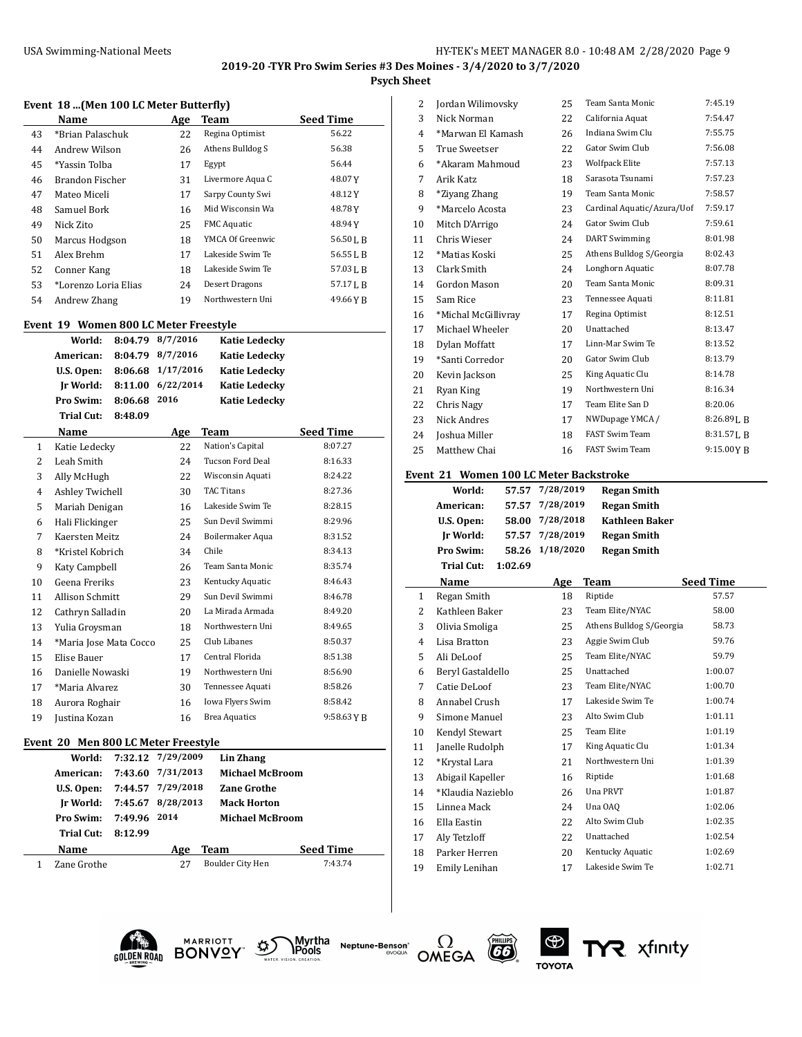#### **2019-20 -TYR Pro Swim Series #3 Des Moines - 3/4/2020 to 3/7/2020 Psych Sheet**

#### **Event 18 ...(Men 100 LC Meter Butterfly)**

|    | Name                 | <b>Age</b> | Team                  | <b>Seed Time</b> |
|----|----------------------|------------|-----------------------|------------------|
| 43 | *Brian Palaschuk     | 22         | Regina Optimist       | 56.22            |
| 44 | Andrew Wilson        | 26         | Athens Bulldog S      | 56.38            |
| 45 | *Yassin Tolba        | 17         | Egypt                 | 56.44            |
| 46 | Brandon Fischer      | 31         | Livermore Aqua C      | 48.07Y           |
| 47 | Mateo Miceli         | 17         | Sarpy County Swi      | 48.12Y           |
| 48 | Samuel Bork          | 16         | Mid Wisconsin Wa      | 48.78Y           |
| 49 | Nick Zito            | 25         | <b>FMC</b> Aquatic    | 48.94Y           |
| 50 | Marcus Hodgson       | 18         | YMCA Of Greenwic      | 56.50 L B        |
| 51 | Alex Brehm           | 17         | Lakeside Swim Te      | 56.55 L B        |
| 52 | Conner Kang          | 18         | Lakeside Swim Te      | 57.03 L B        |
| 53 | *Lorenzo Loria Elias | 24         | <b>Desert Dragons</b> | 57.17 L B        |
| 54 | Andrew Zhang         | 19         | Northwestern Uni      | 49.66 Y R        |

#### **Event 19 Women 800 LC Meter Freestyle**

|    |                        |         | "Chicago bu ricter ricestic |                      |                  |
|----|------------------------|---------|-----------------------------|----------------------|------------------|
|    | World:                 | 8:04.79 | 8/7/2016                    | <b>Katie Ledecky</b> |                  |
|    | American:              | 8:04.79 | 8/7/2016                    | <b>Katie Ledecky</b> |                  |
|    | U.S. Open:             | 8:06.68 | 1/17/2016                   | <b>Katie Ledecky</b> |                  |
|    | Ir World:              | 8:11.00 | 6/22/2014                   | <b>Katie Ledecky</b> |                  |
|    | Pro Swim:              | 8:06.68 | 2016                        | <b>Katie Ledecky</b> |                  |
|    | Trial Cut:             | 8:48.09 |                             |                      |                  |
|    | Name                   |         | Age                         | Team                 | <b>Seed Time</b> |
| 1  | Katie Ledecky          |         | 22                          | Nation's Capital     | 8:07.27          |
| 2  | Leah Smith             |         | 24                          | Tucson Ford Deal     | 8:16.33          |
| 3  | Ally McHugh            |         | 22                          | Wisconsin Aquati     | 8:24.22          |
| 4  | Ashley Twichell        |         | 30                          | <b>TAC Titans</b>    | 8:27.36          |
| 5  | Mariah Denigan         |         | 16                          | Lakeside Swim Te     | 8:28.15          |
| 6  | Hali Flickinger        |         | 25                          | Sun Devil Swimmi     | 8:29.96          |
| 7  | Kaersten Meitz         |         | 24                          | Boilermaker Aqua     | 8:31.52          |
| 8  | *Kristel Kobrich       |         | 34                          | Chile                | 8:34.13          |
| 9  | Katy Campbell          |         | 26                          | Team Santa Monic     | 8:35.74          |
| 10 | Geena Freriks          |         | 23                          | Kentucky Aquatic     | 8:46.43          |
| 11 | <b>Allison Schmitt</b> |         | 29                          | Sun Devil Swimmi     | 8:46.78          |
| 12 | Cathryn Salladin       |         | 20                          | La Mirada Armada     | 8:49.20          |
| 13 | Yulia Grovsman         |         | 18                          | Northwestern Uni     | 8:49.65          |
| 14 | *Maria Jose Mata Cocco |         | 25                          | Club Libanes         | 8:50.37          |
| 15 | Elise Bauer            |         | 17                          | Central Florida      | 8:51.38          |
| 16 | Danielle Nowaski       |         | 19                          | Northwestern Uni     | 8:56.90          |
| 17 | *Maria Alvarez         |         | 30                          | Tennessee Aquati     | 8:58.26          |
| 18 | Aurora Roghair         |         | 16                          | Iowa Flyers Swim     | 8:58.42          |
| 19 | Justina Kozan          |         | 16                          | <b>Brea Aquatics</b> | $9:58.63$ Y B    |
|    |                        |         |                             |                      |                  |

#### **Event 20 Men 800 LC Meter Freestyle**

|                               |              | World: 7:32.12 7/29/2009 | Lin Zhang              |                  |
|-------------------------------|--------------|--------------------------|------------------------|------------------|
| American:                     |              | 7:43.60 7/31/2013        | <b>Michael McBroom</b> |                  |
| U.S. Open:                    |              | 7:44.57 7/29/2018        | <b>Zane Grothe</b>     |                  |
| Ir World: $7:45.67$ 8/28/2013 |              |                          | <b>Mack Horton</b>     |                  |
| <b>Pro Swim:</b>              | 7:49.96 2014 |                          | <b>Michael McBroom</b> |                  |
| Trial Cut:                    | 8:12.99      |                          |                        |                  |
| Name                          |              | Age                      | Team                   | <b>Seed Time</b> |
| Zane Grothe                   |              | 27                       | Boulder City Hen       | 7:43.74          |
|                               |              |                          |                        |                  |

| 2  | Jordan Wilimovsky    | 25 | Team Santa Monic           | 7:45.19        |
|----|----------------------|----|----------------------------|----------------|
| 3  | Nick Norman          | 22 | California Aquat           | 7:54.47        |
| 4  | *Marwan El Kamash    | 26 | Indiana Swim Clu           | 7:55.75        |
| 5  | <b>True Sweetser</b> | 22 | Gator Swim Club            | 7:56.08        |
| 6  | *Akaram Mahmoud      | 23 | <b>Wolfpack Elite</b>      | 7:57.13        |
| 7  | Arik Katz            | 18 | Sarasota Tsunami           | 7:57.23        |
| 8  | *Ziyang Zhang        | 19 | Team Santa Monic           | 7:58.57        |
| 9  | *Marcelo Acosta      | 23 | Cardinal Aquatic/Azura/Uof | 7:59.17        |
| 10 | Mitch D'Arrigo       | 24 | Gator Swim Club            | 7:59.61        |
| 11 | Chris Wieser         | 24 | <b>DART Swimming</b>       | 8:01.98        |
| 12 | *Matias Koski        | 25 | Athens Bulldog S/Georgia   | 8:02.43        |
| 13 | Clark Smith          | 24 | Longhorn Aquatic           | 8:07.78        |
| 14 | Gordon Mason         | 20 | Team Santa Monic           | 8:09.31        |
| 15 | Sam Rice             | 23 | Tennessee Aquati           | 8:11.81        |
| 16 | *Michal McGillivray  | 17 | Regina Optimist            | 8:12.51        |
| 17 | Michael Wheeler      | 20 | Unattached                 | 8:13.47        |
| 18 | Dylan Moffatt        | 17 | Linn-Mar Swim Te           | 8:13.52        |
| 19 | *Santi Corredor      | 20 | Gator Swim Club            | 8:13.79        |
| 20 | Kevin Jackson        | 25 | King Aquatic Clu           | 8:14.78        |
| 21 | Ryan King            | 19 | Northwestern Uni           | 8:16.34        |
| 22 | Chris Nagy           | 17 | Team Elite San D           | 8:20.06        |
| 23 | Nick Andres          | 17 | NWDupage YMCA /            | $8:26.89$ J, B |
| 24 | Joshua Miller        | 18 | <b>FAST Swim Team</b>      | $8:31.57$ J, B |
| 25 | Matthew Chai         | 16 | <b>FAST Swim Team</b>      | 9:15.00YB      |
|    |                      |    |                            |                |

## **Event 21 Women 100 LC Meter Backstroke**

|              | World:            | 57.57   | 7/28/2019 | <b>Regan Smith</b>       |                  |
|--------------|-------------------|---------|-----------|--------------------------|------------------|
|              | American:         | 57.57   | 7/28/2019 | <b>Regan Smith</b>       |                  |
|              | U.S. Open:        | 58.00   | 7/28/2018 | <b>Kathleen Baker</b>    |                  |
|              | Ir World:         | 57.57   | 7/28/2019 | <b>Regan Smith</b>       |                  |
|              | Pro Swim:         | 58.26   | 1/18/2020 | <b>Regan Smith</b>       |                  |
|              | <b>Trial Cut:</b> | 1:02.69 |           |                          |                  |
|              | Name              |         | Age       | <b>Team</b>              | <b>Seed Time</b> |
| $\mathbf{1}$ | Regan Smith       |         | 18        | Riptide                  | 57.57            |
| 2            | Kathleen Baker    |         | 23        | Team Elite/NYAC          | 58.00            |
| 3            | Olivia Smoliga    |         | 25        | Athens Bulldog S/Georgia | 58.73            |
| 4            | Lisa Bratton      |         | 23        | Aggie Swim Club          | 59.76            |
| 5            | Ali DeLoof        |         | 25        | Team Elite/NYAC          | 59.79            |
| 6            | Beryl Gastaldello |         | 25        | Unattached               | 1:00.07          |
| 7            | Catie DeLoof      |         | 23        | Team Elite/NYAC          | 1:00.70          |
| 8            | Annabel Crush     |         | 17        | Lakeside Swim Te         | 1:00.74          |
| 9            | Simone Manuel     |         | 23        | Alto Swim Club           | 1:01.11          |
| 10           | Kendyl Stewart    |         | 25        | <b>Team Elite</b>        | 1:01.19          |
| 11           | Janelle Rudolph   |         | 17        | King Aquatic Clu         | 1:01.34          |
| 12           | *Krystal Lara     |         | 21        | Northwestern Uni         | 1:01.39          |
| 13           | Abigail Kapeller  |         | 16        | Riptide                  | 1:01.68          |
| 14           | *Klaudia Nazieblo |         | 26        | Una PRVT                 | 1:01.87          |
| 15           | Linnea Mack       |         | 24        | Una OAQ                  | 1:02.06          |
| 16           | Ella Eastin       |         | 22        | Alto Swim Club           | 1:02.35          |
| 17           | Aly Tetzloff      |         | 22        | Unattached               | 1:02.54          |
| 18           | Parker Herren     |         | 20        | Kentucky Aquatic         | 1:02.69          |
| 19           | Emily Lenihan     |         | 17        | Lakeside Swim Te         | 1:02.71          |
|              |                   |         |           |                          |                  |





Myrtha<br>**\P**ools **Neptune-Benson**\*



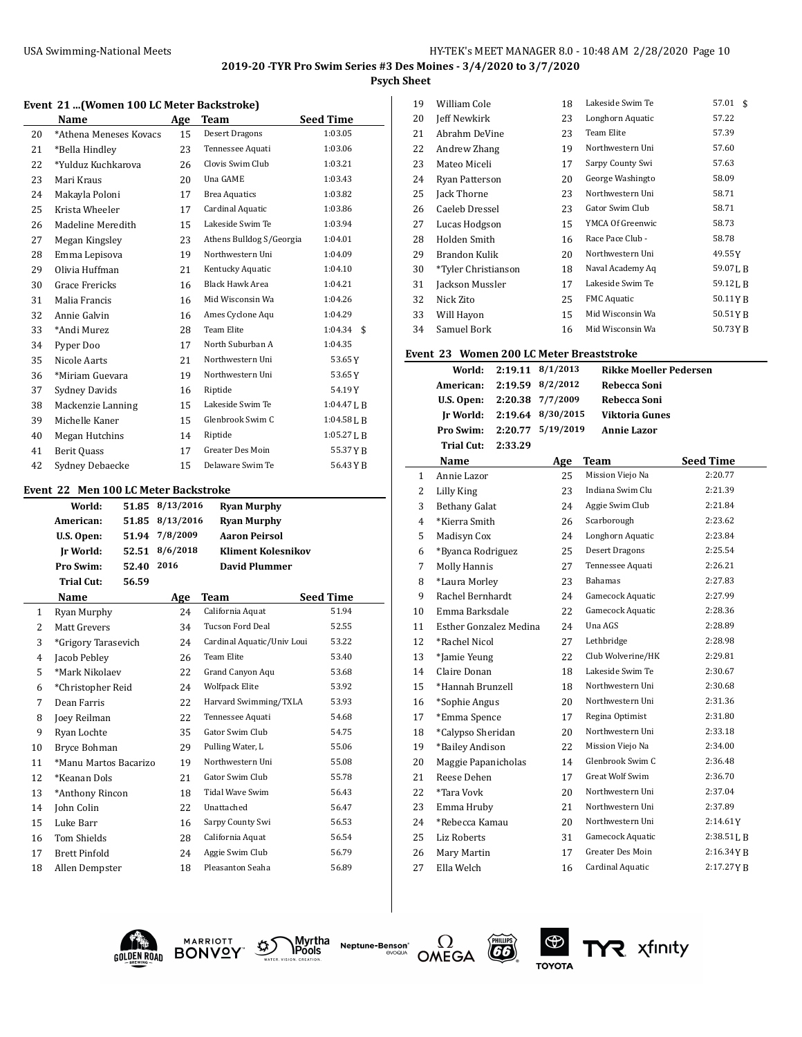## **Psych Sheet**

## **Event 21 ...(Women 100 LC Meter Backstroke)**

|    | Name                   | Age | Team                     | <b>Seed Time</b> |
|----|------------------------|-----|--------------------------|------------------|
| 20 | *Athena Meneses Kovacs | 15  | Desert Dragons           | 1:03.05          |
| 21 | *Bella Hindley         | 23  | Tennessee Aquati         | 1:03.06          |
| 22 | *Yulduz Kuchkarova     | 26  | Clovis Swim Club         | 1:03.21          |
| 23 | Mari Kraus             | 20  | Una GAME                 | 1:03.43          |
| 24 | Makayla Poloni         | 17  | <b>Brea Aquatics</b>     | 1:03.82          |
| 25 | Krista Wheeler         | 17  | Cardinal Aquatic         | 1:03.86          |
| 26 | Madeline Meredith      | 15  | Lakeside Swim Te         | 1:03.94          |
| 27 | Megan Kingsley         | 23  | Athens Bulldog S/Georgia | 1:04.01          |
| 28 | Emma Lepisova          | 19  | Northwestern Uni         | 1:04.09          |
| 29 | Olivia Huffman         | 21  | Kentucky Aquatic         | 1:04.10          |
| 30 | Grace Frericks         | 16  | <b>Black Hawk Area</b>   | 1:04.21          |
| 31 | Malia Francis          | 16  | Mid Wisconsin Wa         | 1:04.26          |
| 32 | Annie Galvin           | 16  | Ames Cyclone Aqu         | 1:04.29          |
| 33 | *Andi Murez            | 28  | Team Elite               | 1:04.34<br>\$    |
| 34 | Pyper Doo              | 17  | North Suburban A         | 1:04.35          |
| 35 | Nicole Aarts           | 21  | Northwestern Uni         | 53.65Y           |
| 36 | *Miriam Guevara        | 19  | Northwestern Uni         | 53.65Y           |
| 37 | Sydney Davids          | 16  | Riptide                  | 54.19Y           |
| 38 | Mackenzie Lanning      | 15  | Lakeside Swim Te         | $1:04.47$ J, B   |
| 39 | Michelle Kaner         | 15  | Glenbrook Swim C         | $1:04.58$ J, B   |
| 40 | Megan Hutchins         | 14  | Riptide                  | $1:05.27$ J, B   |
| 41 | Berit Quass            | 17  | Greater Des Moin         | 55.37YB          |
| 42 | Sydney Debaecke        | 15  | Delaware Swim Te         | 56.43 Y B        |

#### **Event 22 Men 100 LC Meter Backstroke**

|    | World:                | 51.85 | 8/13/2016 | <b>Ryan Murphy</b>         |                  |
|----|-----------------------|-------|-----------|----------------------------|------------------|
|    | American:             | 51.85 | 8/13/2016 | <b>Ryan Murphy</b>         |                  |
|    | U.S. Open:            | 51.94 | 7/8/2009  | <b>Aaron Peirsol</b>       |                  |
|    | Ir World:             | 52.51 | 8/6/2018  | <b>Kliment Kolesnikov</b>  |                  |
|    | Pro Swim:             | 52.40 | 2016      | <b>David Plummer</b>       |                  |
|    | <b>Trial Cut:</b>     | 56.59 |           |                            |                  |
|    | Name                  |       | Age       | Team                       | <b>Seed Time</b> |
| 1  | Ryan Murphy           |       | 24        | California Aquat           | 51.94            |
| 2  | Matt Grevers          |       | 34        | <b>Tucson Ford Deal</b>    | 52.55            |
| 3  | *Grigory Tarasevich   |       | 24        | Cardinal Aquatic/Univ Loui | 53.22            |
| 4  | Jacob Pebley          |       | 26        | <b>Team Elite</b>          | 53.40            |
| 5  | *Mark Nikolaev        |       | 22        | Grand Canyon Aqu           | 53.68            |
| 6  | *Christopher Reid     |       | 24        | Wolfpack Elite             | 53.92            |
| 7  | Dean Farris           |       | 22        | Harvard Swimming/TXLA      | 53.93            |
| 8  | Joey Reilman          |       | 22        | Tennessee Aquati           | 54.68            |
| 9  | Ryan Lochte           |       | 35        | Gator Swim Club            | 54.75            |
| 10 | Bryce Bohman          |       | 29        | Pulling Water, L           | 55.06            |
| 11 | *Manu Martos Bacarizo |       | 19        | Northwestern Uni           | 55.08            |
| 12 | *Keanan Dols          |       | 21        | Gator Swim Club            | 55.78            |
| 13 | *Anthony Rincon       |       | 18        | Tidal Wave Swim            | 56.43            |
| 14 | John Colin            |       | 22        | Unattached                 | 56.47            |
| 15 | Luke Barr             |       | 16        | Sarpy County Swi           | 56.53            |
| 16 | Tom Shields           |       | 28        | California Aquat           | 56.54            |
| 17 | <b>Brett Pinfold</b>  |       | 24        | Aggie Swim Club            | 56.79            |
| 18 | Allen Dempster        |       | 18        | Pleasanton Seaha           | 56.89            |

| 19 | William Cole        | 18 | Lakeside Swim Te   | 57.01<br>\$          |
|----|---------------------|----|--------------------|----------------------|
| 20 | Jeff Newkirk        | 23 | Longhorn Aquatic   | 57.22                |
| 21 | Abrahm DeVine       | 23 | Team Elite         | 57.39                |
| 22 | Andrew Zhang        | 19 | Northwestern Uni   | 57.60                |
| 23 | Mateo Miceli        | 17 | Sarpy County Swi   | 57.63                |
| 24 | Ryan Patterson      | 20 | George Washingto   | 58.09                |
| 25 | Jack Thorne         | 23 | Northwestern Uni   | 58.71                |
| 26 | Caeleb Dressel      | 23 | Gator Swim Club    | 58.71                |
| 27 | Lucas Hodgson       | 15 | YMCA Of Greenwic   | 58.73                |
| 28 | Holden Smith        | 16 | Race Pace Club -   | 58.78                |
| 29 | Brandon Kulik       | 20 | Northwestern Uni   | 49.55Y               |
| 30 | *Tyler Christianson | 18 | Naval Academy Aq   | 59.07LB              |
| 31 | Jackson Mussler     | 17 | Lakeside Swim Te   | 59.12 <sub>L</sub> B |
| 32 | Nick Zito           | 25 | <b>FMC</b> Aquatic | 50.11YB              |
| 33 | Will Hayon          | 15 | Mid Wisconsin Wa   | 50.51YB              |
| 34 | Samuel Bork         | 16 | Mid Wisconsin Wa   | 50.73YB              |
|    |                     |    |                    |                      |

## **Event 23 Women 200 LC Meter Breaststroke**

|                | World:                 | 2:19.11 | 8/1/2013  | <b>Rikke Moeller Pedersen</b> |                  |
|----------------|------------------------|---------|-----------|-------------------------------|------------------|
|                | American:              | 2:19.59 | 8/2/2012  | Rebecca Soni                  |                  |
|                | U.S. Open:             | 2:20.38 | 7/7/2009  | Rebecca Soni                  |                  |
|                | Ir World:              | 2:19.64 | 8/30/2015 | Viktoria Gunes                |                  |
|                | Pro Swim:              | 2:20.77 | 5/19/2019 | <b>Annie Lazor</b>            |                  |
|                | <b>Trial Cut:</b>      | 2:33.29 |           |                               |                  |
|                | Name                   |         | Age       | Team                          | <b>Seed Time</b> |
| $\mathbf{1}$   | Annie Lazor            |         | 25        | Mission Viejo Na              | 2:20.77          |
| 2              | <b>Lilly King</b>      |         | 23        | Indiana Swim Clu              | 2:21.39          |
| 3              | <b>Bethany Galat</b>   |         | 24        | Aggie Swim Club               | 2:21.84          |
| $\overline{4}$ | *Kierra Smith          |         | 26        | Scarborough                   | 2:23.62          |
| 5              | Madisyn Cox            |         | 24        | Longhorn Aquatic              | 2:23.84          |
| 6              | *Byanca Rodriguez      |         | 25        | <b>Desert Dragons</b>         | 2:25.54          |
| 7              | <b>Molly Hannis</b>    |         | 27        | Tennessee Aquati              | 2:26.21          |
| 8              | *Laura Morley          |         | 23        | Bahamas                       | 2:27.83          |
| 9              | Rachel Bernhardt       |         | 24        | Gamecock Aquatic              | 2:27.99          |
| 10             | Emma Barksdale         |         | 22        | Gamecock Aquatic              | 2:28.36          |
| 11             | Esther Gonzalez Medina |         | 24        | Una AGS                       | 2:28.89          |
| 12             | *Rachel Nicol          |         | 27        | Lethbridge                    | 2:28.98          |
| 13             | *Jamie Yeung           |         | 22        | Club Wolverine/HK             | 2:29.81          |
| 14             | Claire Donan           |         | 18        | Lakeside Swim Te              | 2:30.67          |
| 15             | *Hannah Brunzell       |         | 18        | Northwestern Uni              | 2:30.68          |
| 16             | *Sophie Angus          |         | 20        | Northwestern Uni              | 2:31.36          |
| 17             | *Emma Spence           |         | 17        | Regina Optimist               | 2:31.80          |
| 18             | *Calypso Sheridan      |         | 20        | Northwestern Uni              | 2:33.18          |
| 19             | *Bailey Andison        |         | 22        | Mission Viejo Na              | 2:34.00          |
| 20             | Maggie Papanicholas    |         | 14        | Glenbrook Swim C              | 2:36.48          |
| 21             | Reese Dehen            |         | 17        | <b>Great Wolf Swim</b>        | 2:36.70          |
| 22             | *Tara Vovk             |         | 20        | Northwestern Uni              | 2:37.04          |
| 23             | Emma Hruby             |         | 21        | Northwestern Uni              | 2:37.89          |
| 24             | *Rebecca Kamau         |         | 20        | Northwestern Uni              | 2:14.61Y         |
| 25             | <b>Liz Roberts</b>     |         | 31        | Gamecock Aquatic              | 2:38.51L B       |
| 26             | Mary Martin            |         | 17        | Greater Des Moin              | 2:16.34YB        |
| 27             | Ella Welch             |         | 16        | Cardinal Aquatic              | 2:17.27YB        |





Myrtha<br>**\Pools Neptune-Benson**\*





YR xfinity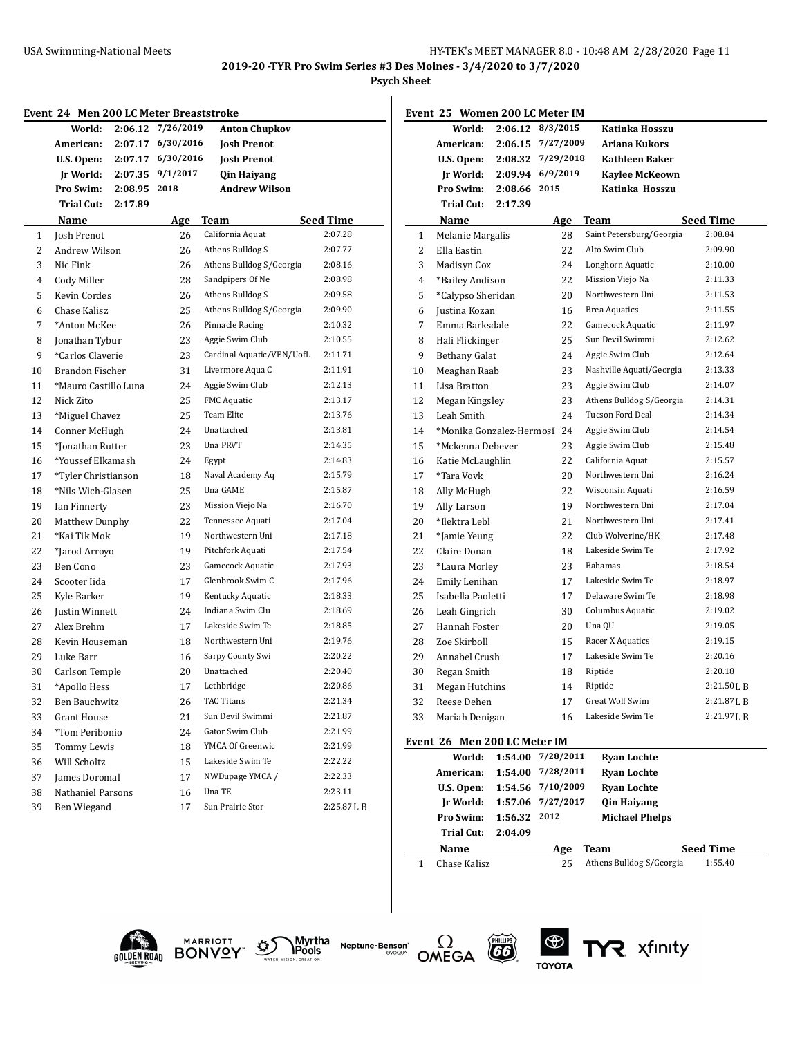**2019-20 -TYR Pro Swim Series #3 Des Moines - 3/4/2020 to 3/7/2020**

**Psych Sheet**

÷,

|              | Event 24 Men 200 LC Meter Breaststroke |         |            |                           |                  |  |  |
|--------------|----------------------------------------|---------|------------|---------------------------|------------------|--|--|
|              | World:                                 | 2:06.12 | 7/26/2019  | <b>Anton Chupkov</b>      |                  |  |  |
|              | American:                              | 2:07.17 | 6/30/2016  | <b>Josh Prenot</b>        |                  |  |  |
|              | U.S. Open:                             | 2:07.17 | 6/30/2016  | <b>Josh Prenot</b>        |                  |  |  |
|              | Jr World:                              | 2:07.35 | 9/1/2017   | <b>Qin Haiyang</b>        |                  |  |  |
|              | <b>Pro Swim:</b>                       | 2:08.95 | 2018       | <b>Andrew Wilson</b>      |                  |  |  |
|              | Trial Cut:                             | 2:17.89 |            |                           |                  |  |  |
|              | Name                                   |         | <u>Age</u> | Team                      | <b>Seed Time</b> |  |  |
| $\mathbf{1}$ | Josh Prenot                            |         | 26         | California Aquat          | 2:07.28          |  |  |
| 2            | Andrew Wilson                          |         | 26         | Athens Bulldog S          | 2:07.77          |  |  |
| 3            | Nic Fink                               |         | 26         | Athens Bulldog S/Georgia  | 2:08.16          |  |  |
| 4            | Cody Miller                            |         | 28         | Sandpipers Of Ne          | 2:08.98          |  |  |
| 5            | Kevin Cordes                           |         | 26         | Athens Bulldog S          | 2:09.58          |  |  |
| 6            | Chase Kalisz                           |         | 25         | Athens Bulldog S/Georgia  | 2:09.90          |  |  |
| 7            | *Anton McKee                           |         | 26         | Pinnacle Racing           | 2:10.32          |  |  |
| 8            | Jonathan Tybur                         |         | 23         | Aggie Swim Club           | 2:10.55          |  |  |
| 9            | *Carlos Claverie                       |         | 23         | Cardinal Aquatic/VEN/UofL | 2:11.71          |  |  |
| 10           | <b>Brandon Fischer</b>                 |         | 31         | Livermore Aqua C          | 2:11.91          |  |  |
| 11           | *Mauro Castillo Luna                   |         | 24         | Aggie Swim Club           | 2:12.13          |  |  |
| 12           | Nick Zito                              |         | 25         | <b>FMC</b> Aquatic        | 2:13.17          |  |  |
| 13           | *Miguel Chavez                         |         | 25         | <b>Team Elite</b>         | 2:13.76          |  |  |
| 14           | Conner McHugh                          |         | 24         | Unattached                | 2:13.81          |  |  |
| 15           | *Jonathan Rutter                       |         | 23         | Una PRVT                  | 2:14.35          |  |  |
| 16           | *Youssef Elkamash                      |         | 24         | Egypt                     | 2:14.83          |  |  |
| 17           | *Tyler Christianson                    |         | 18         | Naval Academy Aq          | 2:15.79          |  |  |
| 18           | *Nils Wich-Glasen                      |         | 25         | Una GAME                  | 2:15.87          |  |  |
| 19           | Ian Finnerty                           |         | 23         | Mission Viejo Na          | 2:16.70          |  |  |
| 20           | Matthew Dunphy                         |         | 22         | Tennessee Aquati          | 2:17.04          |  |  |
| 21           | *Kai Tik Mok                           |         | 19         | Northwestern Uni          | 2:17.18          |  |  |
| 22           | *Jarod Arroyo                          |         | 19         | Pitchfork Aquati          | 2:17.54          |  |  |
| 23           | Ben Cono                               |         | 23         | Gamecock Aquatic          | 2:17.93          |  |  |
| 24           | Scooter Iida                           |         | 17         | Glenbrook Swim C          | 2:17.96          |  |  |
| 25           | Kyle Barker                            |         | 19         | Kentucky Aquatic          | 2:18.33          |  |  |
| 26           | Justin Winnett                         |         | 24         | Indiana Swim Clu          | 2:18.69          |  |  |
| 27           | Alex Brehm                             |         | 17         | Lakeside Swim Te          | 2:18.85          |  |  |
| 28           | Kevin Houseman                         |         | 18         | Northwestern Uni          | 2:19.76          |  |  |
| 29           | Luke Barr                              |         | 16         | Sarpy County Swi          | 2:20.22          |  |  |
| 30           | Carlson Temple                         |         | 20         | Unattached                | 2:20.40          |  |  |
| 31           | *Apollo Hess                           |         | 17         | Lethbridge                | 2:20.86          |  |  |
| 32           | Ben Bauchwitz                          |         | 26         | TAC Titans                | 2:21.34          |  |  |
| 33           | <b>Grant House</b>                     |         | 21         | Sun Devil Swimmi          | 2:21.87          |  |  |
| 34           | *Tom Peribonio                         |         | 24         | Gator Swim Club           | 2:21.99          |  |  |
| 35           | Tommy Lewis                            |         | 18         | YMCA Of Greenwic          | 2:21.99          |  |  |
| 36           | Will Scholtz                           |         | 15         | Lakeside Swim Te          | 2:22.22          |  |  |
| 37           | James Doromal                          |         | 17         | NWDupage YMCA /           | 2:22.33          |  |  |
| 38           | Nathaniel Parsons                      |         | 16         | Una TE                    | 2:23.11          |  |  |
| 39           | Ben Wiegand                            |         | 17         | Sun Prairie Stor          | 2:25.87 L B      |  |  |

|              | Event 25 Women 200 LC Meter IM |         |            |                          |                  |
|--------------|--------------------------------|---------|------------|--------------------------|------------------|
|              | World:                         | 2:06.12 | 8/3/2015   | Katinka Hosszu           |                  |
|              | American:                      | 2:06.15 | 7/27/2009  | Ariana Kukors            |                  |
|              | U.S. Open:                     | 2:08.32 | 7/29/2018  | Kathleen Baker           |                  |
|              | Jr World:                      | 2:09.94 | 6/9/2019   | <b>Kavlee McKeown</b>    |                  |
|              | Pro Swim:                      | 2:08.66 | 2015       | Katinka Hosszu           |                  |
|              | <b>Trial Cut:</b>              | 2:17.39 |            |                          |                  |
|              | Name                           |         | <u>Age</u> | Team                     | <b>Seed Time</b> |
| $\mathbf{1}$ | Melanie Margalis               |         | 28         | Saint Petersburg/Georgia | 2:08.84          |
| 2            | Ella Eastin                    |         | 22         | Alto Swim Club           | 2:09.90          |
| 3            | Madisyn Cox                    |         | 24         | Longhorn Aquatic         | 2:10.00          |
| 4            | *Bailey Andison                |         | 22         | Mission Viejo Na         | 2:11.33          |
| 5            | *Calypso Sheridan              |         | 20         | Northwestern Uni         | 2:11.53          |
| 6            | Justina Kozan                  |         | 16         | <b>Brea Aquatics</b>     | 2:11.55          |
| 7            | Emma Barksdale                 |         | 22         | Gamecock Aquatic         | 2:11.97          |
| 8            | Hali Flickinger                |         | 25         | Sun Devil Swimmi         | 2:12.62          |
| 9            | <b>Bethany Galat</b>           |         | 24         | Aggie Swim Club          | 2:12.64          |
| 10           | Meaghan Raab                   |         | 23         | Nashville Aquati/Georgia | 2:13.33          |
| 11           | Lisa Bratton                   |         | 23         | Aggie Swim Club          | 2:14.07          |
| 12           | Megan Kingsley                 |         | 23         | Athens Bulldog S/Georgia | 2:14.31          |
| 13           | Leah Smith                     |         | 24         | <b>Tucson Ford Deal</b>  | 2:14.34          |
| 14           | *Monika Gonzalez-Hermosi 24    |         |            | Aggie Swim Club          | 2:14.54          |
| 15           | *Mckenna Debever               |         | 23         | Aggie Swim Club          | 2:15.48          |
| 16           | Katie McLaughlin               |         | 22         | California Aquat         | 2:15.57          |
| 17           | *Tara Vovk                     |         | 20         | Northwestern Uni         | 2:16.24          |
| 18           | Ally McHugh                    |         | 22         | Wisconsin Aquati         | 2:16.59          |
| 19           | Ally Larson                    |         | 19         | Northwestern Uni         | 2:17.04          |
| 20           | *Ilektra Lebl                  |         | 21         | Northwestern Uni         | 2:17.41          |
| 21           | *Jamie Yeung                   |         | 22         | Club Wolverine/HK        | 2:17.48          |
| 22           | Claire Donan                   |         | 18         | Lakeside Swim Te         | 2:17.92          |
| 23           | *Laura Morley                  |         | 23         | Bahamas                  | 2:18.54          |
| 24           | Emily Lenihan                  |         | 17         | Lakeside Swim Te         | 2:18.97          |
| 25           | Isabella Paoletti              |         | 17         | Delaware Swim Te         | 2:18.98          |
| 26           | Leah Gingrich                  |         | 30         | Columbus Aquatic         | 2:19.02          |
| 27           | Hannah Foster                  |         | 20         | Una QU                   | 2:19.05          |
| 28           | Zoe Skirboll                   |         | 15         | Racer X Aquatics         | 2:19.15          |
| 29           | Annabel Crush                  |         | 17         | Lakeside Swim Te         | 2:20.16          |
| 30           | Regan Smith                    |         | 18         | Riptide                  | 2:20.18          |
| 31           | Megan Hutchins                 |         | 14         | Riptide                  | 2:21.50LB        |
| 32           | Reese Dehen                    |         | 17         | Great Wolf Swim          | 2:21.87 L B      |
| 33           | Mariah Denigan                 |         | 16         | Lakeside Swim Te         | 2:21.97 L B      |
|              | Event 26 Men 200 LC Meter IM   |         |            |                          |                  |
|              | World:                         | 1:54.00 | 7/28/2011  | <b>Ryan Lochte</b>       |                  |
|              | American:                      | 1:54.00 | 7/28/2011  | <b>Ryan Lochte</b>       |                  |
|              | U.S. Open:                     | 1:54.56 | 7/10/2009  | <b>Ryan Lochte</b>       |                  |
|              | Ir World:                      | 1:57.06 | 7/27/2017  | <b>Qin Haiyang</b>       |                  |

| <b>Pro Swim:</b>   | <b>Michael Phelps</b><br>1:56.32 2012 |     |      |                  |
|--------------------|---------------------------------------|-----|------|------------------|
| Trial Cut: 2:04.09 |                                       |     |      |                  |
|                    |                                       |     |      |                  |
| <b>Name</b>        |                                       | Age | Team | <b>Seed Time</b> |

R xfinity





Myrtha<br>Pools **Neptune-Benson\***<br>evoqua



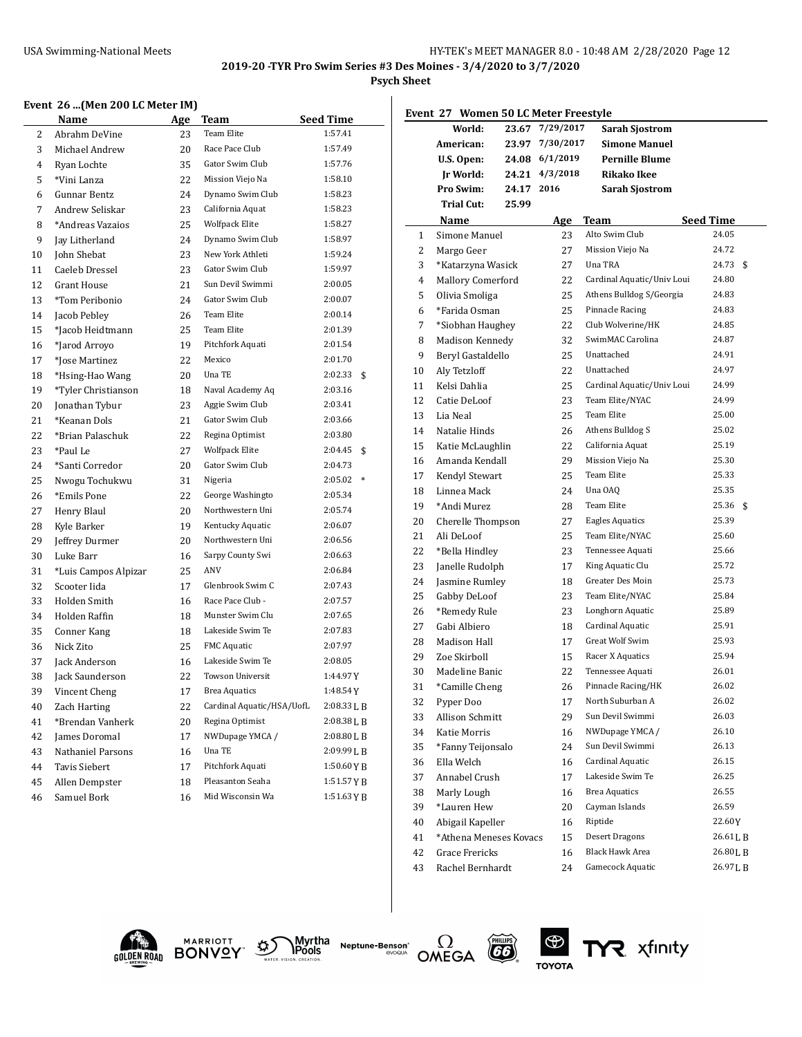**2019-20 -TYR Pro Swim Series #3 Des Moines - 3/4/2020 to 3/7/2020**

#### **Psych Sheet**

## **Event 26 ...(Men 200 LC Meter IM)**

|                | <b>Name</b>          | Age | Team                      | <b>Seed Time</b>  |
|----------------|----------------------|-----|---------------------------|-------------------|
| 2              | Abrahm DeVine        | 23  | <b>Team Elite</b>         | 1:57.41           |
| 3              | Michael Andrew       | 20  | Race Pace Club            | 1:57.49           |
| $\overline{4}$ | Ryan Lochte          | 35  | Gator Swim Club           | 1:57.76           |
| 5              | *Vini Lanza          | 22  | Mission Viejo Na          | 1:58.10           |
| 6              | Gunnar Bentz         | 24  | Dynamo Swim Club          | 1:58.23           |
| 7              | Andrew Seliskar      | 23  | California Aquat          | 1:58.23           |
| 8              | *Andreas Vazaios     | 25  | <b>Wolfpack Elite</b>     | 1:58.27           |
| 9              | Jay Litherland       | 24  | Dynamo Swim Club          | 1:58.97           |
| 10             | John Shebat          | 23  | New York Athleti          | 1:59.24           |
| 11             | Caeleb Dressel       | 23  | Gator Swim Club           | 1:59.97           |
| 12             | <b>Grant House</b>   | 21  | Sun Devil Swimmi          | 2:00.05           |
| 13             | *Tom Peribonio       | 24  | Gator Swim Club           | 2:00.07           |
| 14             | Jacob Pebley         | 26  | <b>Team Elite</b>         | 2:00.14           |
| 15             | *Jacob Heidtmann     | 25  | Team Elite                | 2:01.39           |
| 16             | *Jarod Arroyo        | 19  | Pitchfork Aquati          | 2:01.54           |
| 17             | *Jose Martinez       | 22  | Mexico                    | 2:01.70           |
| 18             | *Hsing-Hao Wang      | 20  | Una TE                    | 2:02.33<br>\$     |
| 19             | *Tyler Christianson  | 18  | Naval Academy Aq          | 2:03.16           |
| 20             | Jonathan Tybur       | 23  | Aggie Swim Club           | 2:03.41           |
| 21             | *Keanan Dols         | 21  | Gator Swim Club           | 2:03.66           |
| 22             | *Brian Palaschuk     | 22  | Regina Optimist           | 2:03.80           |
| 23             | *Paul Le             | 27  | <b>Wolfpack Elite</b>     | 2:04.45<br>\$     |
| 24             | *Santi Corredor      | 20  | Gator Swim Club           | 2:04.73           |
| 25             | Nwogu Tochukwu       | 31  | Nigeria                   | 2:05.02<br>$\ast$ |
| 26             | *Emils Pone          | 22  | George Washingto          | 2:05.34           |
| 27             | Henry Blaul          | 20  | Northwestern Uni          | 2:05.74           |
| 28             | Kyle Barker          | 19  | Kentucky Aquatic          | 2:06.07           |
| 29             | Jeffrey Durmer       | 20  | Northwestern Uni          | 2:06.56           |
| 30             | Luke Barr            | 16  | Sarpy County Swi          | 2:06.63           |
| 31             | *Luis Campos Alpizar | 25  | ANV                       | 2:06.84           |
| 32             | Scooter Iida         | 17  | Glenbrook Swim C          | 2:07.43           |
| 33             | Holden Smith         | 16  | Race Pace Club -          | 2:07.57           |
| 34             | <b>Holden Raffin</b> | 18  | Munster Swim Clu          | 2:07.65           |
| 35             | Conner Kang          | 18  | Lakeside Swim Te          | 2:07.83           |
| 36             | Nick Zito            | 25  | <b>FMC</b> Aquatic        | 2:07.97           |
| 37             | <b>Jack Anderson</b> | 16  | Lakeside Swim Te          | 2:08.05           |
| 38             | Jack Saunderson      | 22  | <b>Towson Universit</b>   | 1:44.97Y          |
| 39             | Vincent Cheng        | 17  | <b>Brea Aquatics</b>      | 1:48.54Y          |
| 40             | Zach Harting         | 22  | Cardinal Aquatic/HSA/UofL | 2:08.33LB         |
| 41             | *Brendan Vanherk     | 20  | Regina Optimist           | 2:08.38LB         |
| 42             | James Doromal        | 17  | NWDupage YMCA /           | $2:08.80$ J, B    |
| 43             | Nathaniel Parsons    | 16  | Una TE                    | 2:09.99 L B       |
| 44             | <b>Tavis Siebert</b> | 17  | Pitchfork Aquati          | 1:50.60YB         |
| 45             | Allen Dempster       | 18  | Pleasanton Seaha          | 1:51.57 Y B       |
| 46             | Samuel Bork          | 16  | Mid Wisconsin Wa          | 1:51.63YB         |
|                |                      |     |                           |                   |

| Event 27 Women 50 LC Meter Freestyle |                        |       |            |                            |                  |
|--------------------------------------|------------------------|-------|------------|----------------------------|------------------|
|                                      | World:                 | 23.67 | 7/29/2017  | <b>Sarah Sjostrom</b>      |                  |
|                                      | American:              | 23.97 | 7/30/2017  | <b>Simone Manuel</b>       |                  |
|                                      | U.S. Open:             | 24.08 | 6/1/2019   | <b>Pernille Blume</b>      |                  |
|                                      | Jr World:              | 24.21 | 4/3/2018   | <b>Rikako Ikee</b>         |                  |
|                                      | <b>Pro Swim:</b>       | 24.17 | 2016       | <b>Sarah Sjostrom</b>      |                  |
|                                      | <b>Trial Cut:</b>      | 25.99 |            |                            |                  |
|                                      | Name                   |       | <u>Age</u> | Team                       | <b>Seed Time</b> |
| 1                                    | Simone Manuel          |       | 23         | Alto Swim Club             | 24.05            |
| 2                                    | Margo Geer             |       | 27         | Mission Viejo Na           | 24.72            |
| 3                                    | *Katarzyna Wasick      |       | 27         | Una TRA                    | 24.73<br>\$      |
| 4                                    | Mallory Comerford      |       | 22         | Cardinal Aquatic/Univ Loui | 24.80            |
| 5                                    | Olivia Smoliga         |       | 25         | Athens Bulldog S/Georgia   | 24.83            |
| 6                                    | *Farida Osman          |       | 25         | Pinnacle Racing            | 24.83            |
| 7                                    | *Siobhan Haughey       |       | 22         | Club Wolverine/HK          | 24.85            |
| 8                                    | Madison Kennedy        |       | 32         | SwimMAC Carolina           | 24.87            |
| 9                                    | Beryl Gastaldello      |       | 25         | Unattached                 | 24.91            |
| 10                                   | Aly Tetzloff           |       | 22         | Unattached                 | 24.97            |
| 11                                   | Kelsi Dahlia           |       | 25         | Cardinal Aquatic/Univ Loui | 24.99            |
| 12                                   | Catie DeLoof           |       | 23         | Team Elite/NYAC            | 24.99            |
| 13                                   | Lia Neal               |       | 25         | Team Elite                 | 25.00            |
| 14                                   | Natalie Hinds          |       | 26         | Athens Bulldog S           | 25.02            |
| 15                                   | Katie McLaughlin       |       | 22         | California Aquat           | 25.19            |
| 16                                   | Amanda Kendall         |       | 29         | Mission Viejo Na           | 25.30            |
| 17                                   | Kendyl Stewart         |       | 25         | Team Elite                 | 25.33            |
| 18                                   | Linnea Mack            |       | 24         | Una OAQ                    | 25.35            |
| 19                                   | *Andi Murez            |       | 28         | Team Elite                 | 25.36<br>\$      |
| 20                                   | Cherelle Thompson      |       | 27         | <b>Eagles Aquatics</b>     | 25.39            |
| 21                                   | Ali DeLoof             |       | 25         | Team Elite/NYAC            | 25.60            |
| 22                                   | *Bella Hindley         |       | 23         | Tennessee Aquati           | 25.66            |
| 23                                   | Janelle Rudolph        |       | 17         | King Aquatic Clu           | 25.72            |
| 24                                   | Jasmine Rumley         |       | 18         | Greater Des Moin           | 25.73            |
| 25                                   | Gabby DeLoof           |       | 23         | Team Elite/NYAC            | 25.84            |
| 26                                   | *Remedy Rule           |       | 23         | Longhorn Aquatic           | 25.89            |
| 27                                   | Gabi Albiero           |       | 18         | Cardinal Aquatic           | 25.91            |
| 28                                   | Madison Hall           |       | 17         | Great Wolf Swim            | 25.93            |
| 29                                   | Zoe Skirboll           |       | 15         | Racer X Aquatics           | 25.94            |
| 30                                   | Madeline Banic         |       | 22         | Tennessee Aquati           | 26.01            |
| 31                                   | *Camille Cheng         |       | 26         | Pinnacle Racing/HK         | 26.02            |
| 32                                   | Pyper Doo              |       | $17\,$     | North Suburban A           | 26.02            |
| 33                                   | Allison Schmitt        |       | 29         | Sun Devil Swimmi           | 26.03            |
| 34                                   | <b>Katie Morris</b>    |       | 16         | NWDupage YMCA /            | 26.10            |
| 35                                   | *Fanny Teijonsalo      |       | 24         | Sun Devil Swimmi           | 26.13            |
| 36                                   | Ella Welch             |       | 16         | Cardinal Aquatic           | 26.15            |
| 37                                   | Annabel Crush          |       | 17         | Lakeside Swim Te           | 26.25            |
| 38                                   | Marly Lough            |       | 16         | <b>Brea Aquatics</b>       | 26.55            |
| 39                                   | *Lauren Hew            |       | 20         | Cayman Islands             | 26.59            |
| 40                                   | Abigail Kapeller       |       | 16         | Riptide                    | 22.60Y           |
| 41                                   | *Athena Meneses Kovacs |       | 15         | <b>Desert Dragons</b>      | 26.61 L B        |
| 42                                   | Grace Frericks         |       | 16         | <b>Black Hawk Area</b>     | 26.80LB          |
| 43                                   | Rachel Bernhardt       |       | 24         | Gamecock Aquatic           | 26.97LB          |
|                                      |                        |       |            |                            |                  |





Myrtha<br>Pools **Neptune-Benson\***<br>evoqua





**TYR** xfinity